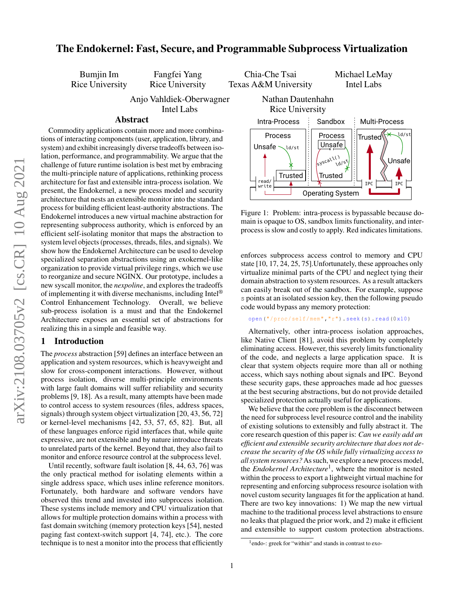# The Endokernel: Fast, Secure, and Programmable Subprocess Virtualization

Bumjin Im Rice University

Fangfei Yang Rice University

Chia-Che Tsai Texas A&M University Michael LeMay Intel Labs

Anjo Vahldiek-Oberwagner

Intel Labs

### Abstract

Commodity applications contain more and more combinations of interacting components (user, application, library, and system) and exhibit increasingly diverse tradeoffs between isolation, performance, and programmability. We argue that the challenge of future runtime isolation is best met by embracing the multi-principle nature of applications, rethinking process architecture for fast and extensible intra-process isolation. We present, the Endokernel, a new process model and security architecture that nests an extensible monitor into the standard process for building efficient least-authority abstractions. The Endokernel introduces a new virtual machine abstraction for representing subprocess authority, which is enforced by an efficient self-isolating monitor that maps the abstraction to system level objects (processes, threads, files, and signals). We show how the Endokernel Architecture can be used to develop specialized separation abstractions using an exokernel-like organization to provide virtual privilege rings, which we use to reorganize and secure NGINX. Our prototype, includes a new syscall monitor, the *nexpoline*, and explores the tradeoffs of implementing it with diverse mechanisms, including Intel® Control Enhancement Technology. Overall, we believe sub-process isolation is a must and that the Endokernel Architecture exposes an essential set of abstractions for realizing this in a simple and feasible way.

### 1 Introduction

The *process* abstraction [59] defines an interface between an application and system resources, which is heavyweight and slow for cross-component interactions. However, without process isolation, diverse multi-principle environments with large fault domains will suffer reliability and security problems [9, 18]. As a result, many attempts have been made to control access to system resources (files, address spaces, signals) through system object virtualization [20, 43, 56, 72] or kernel-level mechanisms [42, 53, 57, 65, 82]. But, all of these languages enforce rigid interfaces that, while quite expressive, are not extensible and by nature introduce threats to unrelated parts of the kernel. Beyond that, they also fail to monitor and enforce resource control at the subprocess level.

Until recently, software fault isolation [8, 44, 63, 76] was the only practical method for isolating elements within a single address space, which uses inline reference monitors. Fortunately, both hardware and software vendors have observed this trend and invested into subprocess isolation. These systems include memory and CPU virtualization that allows for multiple protection domains within a process with fast domain switching (memory protection keys [54], nested paging fast context-switch support [4, 74], etc.). The core technique is to nest a monitor into the process that efficiently



Figure 1: Problem: intra-process is bypassable because domain is opaque to OS, sandbox limits functionality, and interprocess is slow and costly to apply. Red indicates limitations.

enforces subprocess access control to memory and CPU state [10, 17, 24, 25, 75].Unfortunately, these approaches only virtualize minimal parts of the CPU and neglect tying their domain abstraction to system resources. As a result attackers can easily break out of the sandbox. For example, suppose s points at an isolated session key, then the following pseudo code would bypass any memory protection:

open("/proc/self/mem","r").seek(s).read (0 x10)

Alternatively, other intra-process isolation approaches, like Native Client [81], avoid this problem by completely eliminating access. However, this severely limits functionality of the code, and neglects a large application space. It is clear that system objects require more than all or nothing access, which says nothing about signals and IPC. Beyond these security gaps, these approaches made ad hoc guesses at the best securing abstractions, but do not provide detailed specialized protection actually useful for applications.

We believe that the core problem is the disconnect between the need for subprocess level resource control and the inability of existing solutions to extensibly and fully abstract it. The core research question of this paper is: *Can we easily add an efficient and extensible security architecture that does not decrease the security of the OS while fully virtualizing access to all system resources?* As such, we explore a new process model, the *Endokernel Architecture*<sup>1</sup> , where the monitor is nested within the process to export a lightweight virtual machine for representing and enforcing subprocess resource isolation with novel custom security languages fit for the application at hand. There are two key innovations: 1) We map the new virtual machine to the traditional process level abstractions to ensure no leaks that plagued the prior work, and 2) make it efficient and extensible to support custom protection abstractions.

<sup>1</sup> endo-: greek for "within" and stands in contrast to exo-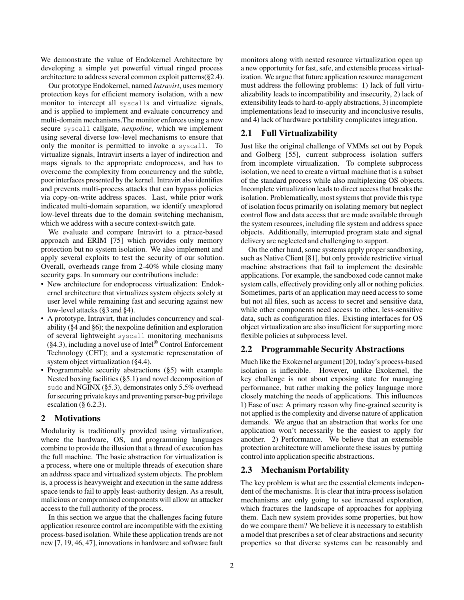We demonstrate the value of Endokernel Architecture by developing a simple yet powerful virtual ringed process architecture to address several common exploit patterns(§2.4).

Our prototype Endokernel, named *Intravirt*, uses memory protection keys for efficient memory isolation, with a new monitor to intercept all syscalls and virtualize signals, and is applied to implement and evaluate concurrency and multi-domain mechanisms.The monitor enforces using a new secure syscall callgate, *nexpoline*, which we implement using several diverse low-level mechanisms to ensure that only the monitor is permitted to invoke a syscall. To virtualize signals, Intravirt inserts a layer of indirection and maps signals to the appropriate endoprocess, and has to overcome the complexity from concurrency and the subtle, poor interfaces presented by the kernel. Intravirt also identifies and prevents multi-process attacks that can bypass policies via copy-on-write address spaces. Last, while prior work indicated multi-domain separation, we identify unexplored low-level threats due to the domain switching mechanism, which we address with a secure context-switch gate.

We evaluate and compare Intravirt to a ptrace-based approach and ERIM [75] which provides only memory protection but no system isolation. We also implement and apply several exploits to test the security of our solution. Overall, overheads range from 2-40% while closing many security gaps. In summary our contributions include:

- New architecture for endoprocess virtualization: Endokernel architecture that virtualizes system objects solely at user level while remaining fast and securing against new low-level attacks (§3 and §4).
- A prototype, Intravirt, that includes concurrency and scalability (§4 and §6); the nexpoline definition and exploration of several lightweight syscall monitoring mechanisms  $(\S 4.3)$ , including a novel use of Intel<sup>®</sup> Control Enforcement Technology (CET); and a systematic represenatation of system object virtualization (§4.4).
- Programmable security abstractions (§5) with example Nested boxing facilities (§5.1) and novel decomposition of sudo and NGINX (§5.3), demonstrates only 5.5% overhead for securing private keys and preventing parser-bug privilege escalation ( $\S$  6.2.3).

### 2 Motivations

Modularity is traditionally provided using virtualization, where the hardware, OS, and programming languages combine to provide the illusion that a thread of execution has the full machine. The basic abstraction for virtualization is a process, where one or multiple threads of execution share an address space and virtualized system objects. The problem is, a process is heavyweight and execution in the same address space tends to fail to apply least-authority design. As a result, malicious or compromised components will allow an attacker access to the full authority of the process.

In this section we argue that the challenges facing future application resource control are incompatible with the existing process-based isolation. While these application trends are not new [7, 19, 46, 47], innovations in hardware and software fault monitors along with nested resource virtualization open up a new opportunity for fast, safe, and extensible process virtualization. We argue that future application resource management must address the following problems: 1) lack of full virtualizability leads to incompatibility and insecurity, 2) lack of extensibility leads to hard-to-apply abstractions, 3) incomplete implementations lead to insecurity and inconclusive results, and 4) lack of hardware portability complicates integration.

### 2.1 Full Virtualizability

Just like the original challenge of VMMs set out by Popek and Golberg [55], current subprocess isolation suffers from incomplete virtualization. To complete subprocess isolation, we need to create a virtual machine that is a subset of the standard process while also multiplexing OS objects. Incomplete virtualization leads to direct access that breaks the isolation. Problematically, most systems that provide this type of isolation focus primarily on isolating memory but neglect control flow and data access that are made available through the system resources, including file system and address space objects. Additionally, interrupted program state and signal delivery are neglected and challenging to support.

On the other hand, some systems apply proper sandboxing, such as Native Client [81], but only provide restrictive virtual machine abstractions that fail to implement the desirable applications. For example, the sandboxed code cannot make system calls, effectively providing only all or nothing policies. Sometimes, parts of an application may need access to some but not all files, such as access to secret and sensitive data, while other components need access to other, less-sensitive data, such as configuration files. Existing interfaces for OS object virtualization are also insufficient for supporting more flexible policies at subprocess level.

### 2.2 Programmable Security Abstractions

Much like the Exokernel argument [20], today's process-based isolation is inflexible. However, unlike Exokernel, the key challenge is not about exposing state for managing performance, but rather making the policy language more closely matching the needs of applications. This influences 1) Ease of use: A primary reason why fine-grained security is not applied is the complexity and diverse nature of application demands. We argue that an abstraction that works for one application won't necessarily be the easiest to apply for another. 2) Performance. We believe that an extensible protection architecture will ameliorate these issues by putting control into application specific abstractions.

### 2.3 Mechanism Portability

The key problem is what are the essential elements independent of the mechanisms. It is clear that intra-process isolation mechanisms are only going to see increased exploration, which fractures the landscape of approaches for applying them. Each new system provides some properties, but how do we compare them? We believe it is necessary to establish a model that prescribes a set of clear abstractions and security properties so that diverse systems can be reasonably and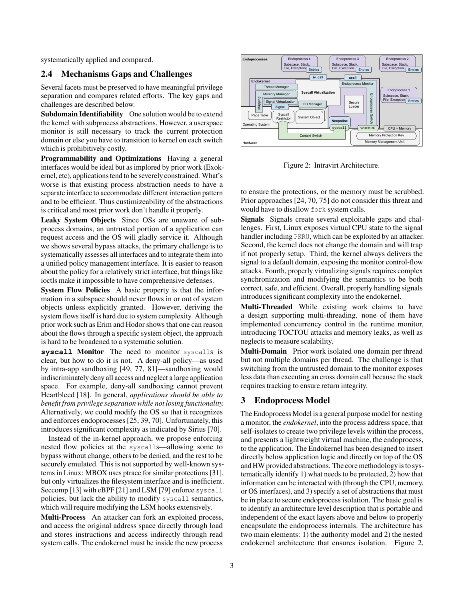systematically applied and compared.

### 2.4 Mechanisms Gaps and Challenges

Several facets must be preserved to have meaningful privilege separation and compares related efforts. The key gaps and challenges are described below.

Subdomain Identifiability One solution would be to extend the kernel with subprocess abstractions. However, a userspace monitor is still necessary to track the current protection domain or else you have to transition to kernel on each switch which is prohibitively costly.

Programmability and Optimizations Having a general interfaces would be ideal but as implored by prior work (Exokernel, etc), applications tend to be severely constrained. What's worse is that existing process abstraction needs to have a separate interface to accommodate different interaction pattern and to be efficient. Thus custimizeability of the abstractions is critical and most prior work don't handle it properly.

Leaky System Objects Since OSs are unaware of subprocess domains, an untrusted portion of a application can request access and the OS will gladly service it. Although we shows several bypass attacks, the primary challenge is to systematically assesses all interfaces and to integrate them into a unified policy management interface. It is easier to reason about the policy for a relatively strict interface, but things like ioctls make it impossible to have comprehensive defenses.

System Flow Policies A basic property is that the information in a subspace should never flows in or out of system objects unless explicitly granted. However, deriving the system flows itself is hard due to system complexity. Although prior work such as Erim and Hodor shows that one can reason about the flows through a specific system object, the approach is hard to be broadened to a systematic solution.

**syscall** Monitor The need to monitor syscalls is clear, but how to do it is not. A deny-all policy—as used by intra-app sandboxing [49, 77, 81]—sandboxing would indiscriminately deny all access and neglect a large application space. For example, deny-all sandboxing cannot prevent Heartbleed [18]. In general, *applications should be able to benefit from privilege separation while not losing functionality.* Alternatively, we could modify the OS so that it recognizes and enforces endoprocesses [25, 39, 70]. Unfortunately, this introduces significant complexity as indicated by Sirius [70].

Instead of the in-kernel approach, we propose enforcing nested flow policies at the syscalls—allowing some to bypass without change, others to be denied, and the rest to be securely emulated. This is not supported by well-known systems in Linux: MBOX uses ptrace for similar protections [31], but only virtualizes the filesystem interface and is inefficient. Seccomp [13] with eBPF [21] and LSM [79] enforce syscall policies, but lack the ability to modify syscall semantics, which will require modifying the LSM hooks extensively.

Multi-Process An attacker can fork an exploited process, and access the original address space directly through load and stores instructions and access indirectly through read system calls. The endokernel must be inside the new process



Figure 2: Intravirt Architecture.

to ensure the protections, or the memory must be scrubbed. Prior approaches [24, 70, 75] do not consider this threat and would have to disallow fork system calls.

Signals Signals create several exploitable gaps and challenges. First, Linux exposes virtual CPU state to the signal handler including PKRU, which can be exploited by an attacker. Second, the kernel does not change the domain and will trap if not properly setup. Third, the kernel always delivers the signal to a default domain, exposing the monitor control-flow attacks. Fourth, properly virtualizing signals requires complex synchronization and modifying the semantics to be both correct, safe, and efficient. Overall, properly handling signals introduces significant complexity into the endokernel.

Multi-Threaded While existing work claims to have a design supporting multi-threading, none of them have implemented concurrency control in the runtime monitor, introducing TOCTOU attacks and memory leaks, as well as neglects to measure scalability.

Multi-Domain Prior work isolated one domain per thread but not multiple domains per thread. The challenge is that switching from the untrusted domain to the monitor exposes less data than executing an cross domain call because the stack requires tracking to ensure return integrity.

### 3 Endoprocess Model

The Endoprocess Model is a general purpose model for nesting a monitor, the *endokernel*, into the process address space, that self-isolates to create two privilege levels within the process, and presents a lightweight virtual machine, the endoprocess, to the application. The Endokernel has been designed to insert directly below application logic and directly on top of the OS and HW provided abstractions. The core methodology is to systematically identify 1) what needs to be protected, 2) how that information can be interacted with (through the CPU, memory, or OS interfaces), and 3) specify a set of abstractions that must be in place to secure endoprocess isolation. The basic goal is to identify an architecture level description that is portable and independent of the exact layers above and below to properly encapsulate the endoprocess internals. The architecture has two main elements: 1) the authority model and 2) the nested endokernel architecture that ensures isolation. Figure 2,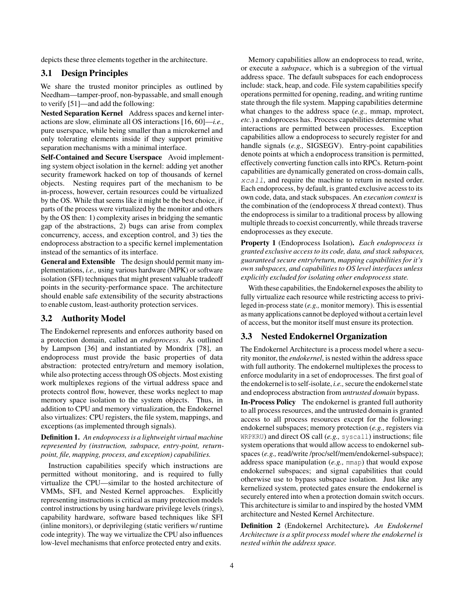depicts these three elements together in the architecture.

### 3.1 Design Principles

We share the trusted monitor principles as outlined by Needham—tamper-proof, non-bypassable, and small enough to verify [51]—and add the following:

Nested Separation Kernel Address spaces and kernel interactions are slow, eliminate all OS interactions [16, 60]—*i.e.,* pure userspace, while being smaller than a microkernel and only tolerating elements inside if they support primitive separation mechanisms with a minimal interface.

Self-Contained and Secure Userspace Avoid implementing system object isolation in the kernel: adding yet another security framework hacked on top of thousands of kernel objects. Nesting requires part of the mechanism to be in-process, however, certain resources could be virtualized by the OS. While that seems like it might be the best choice, if parts of the process were virtualized by the monitor and others by the OS then: 1) complexity arises in bridging the semantic gap of the abstractions, 2) bugs can arise from complex concurrency, access, and exception control, and 3) ties the endoprocess abstraction to a specific kernel implementation instead of the semantics of its interface.

General and Extensible The design should permit many implementations, *i.e.,* using various hardware (MPK) or software isolation (SFI) techniques that might present valuable tradeoff points in the security-performance space. The architecture should enable safe extensibility of the security abstractions to enable custom, least-authority protection services.

### 3.2 Authority Model

The Endokernel represents and enforces authority based on a protection domain, called an *endoprocess*. As outlined by Lampson [36] and instantiated by Mondrix [78], an endoprocess must provide the basic properties of data abstraction: protected entry/return and memory isolation, while also protecting access through OS objects. Most existing work multiplexes regions of the virtual address space and protects control flow, however, these works neglect to map memory space isolation to the system objects. Thus, in addition to CPU and memory virtualization, the Endokernel also virtualizes: CPU registers, the file system, mappings, and exceptions (as implemented through signals).

### Definition 1. *An endoprocess is a lightweight virtual machine represented by (instruction, subspace, entry-point, returnpoint, file, mapping, process, and exception) capabilities.*

Instruction capabilities specify which instructions are permitted without monitoring, and is required to fully virtualize the CPU—similar to the hosted architecture of VMMs, SFI, and Nested Kernel approaches. Explicitly representing instructions is critical as many protection models control instructions by using hardware privilege levels (rings), capability hardware, software based techniques like SFI (inline monitors), or deprivileging (static verifiers w/ runtime code integrity). The way we virtualize the CPU also influences low-level mechanisms that enforce protected entry and exits.

Memory capabilities allow an endoprocess to read, write, or execute a *subspace*, which is a subregion of the virtual address space. The default subspaces for each endoprocess include: stack, heap, and code. File system capabilities specify operations permitted for opening, reading, and writing runtime state through the file system. Mapping capabilities determine what changes to the address space (*e.g.,* mmap, mprotect, *etc.*) a endoprocess has. Process capabilities determine what interactions are permitted between processes. Exception capabilities allow a endoprocess to securely register for and handle signals (*e.g.,* SIGSEGV). Entry-point capabilities denote points at which a endoprocess transition is permitted, effectively converting function calls into RPCs. Return-point capabilities are dynamically generated on cross-domain calls, xcall, and require the machine to return in nested order. Each endoprocess, by default, is granted exclusive access to its own code, data, and stack subspaces. An *execution context* is the combination of the (endoprocess *X* thread context). Thus the endoprocess is similar to a traditional process by allowing multiple threads to coexist concurrently, while threads traverse endoprocesses as they execute.

Property 1 (Endoprocess Isolation). *Each endoprocess is granted exclusive access to its code, data, and stack subspaces, guaranteed secure entry/return, mapping capabilities for it's own subspaces, and capabilities to OS level interfaces unless explicitly excluded for isolating other endoprocess state.*

With these capabilities, the Endokernel exposes the ability to fully virtualize each resource while restricting access to privileged in-process state (*e.g.,* monitor memory). This is essential as many applications cannot be deployed without a certain level of access, but the monitor itself must ensure its protection.

### 3.3 Nested Endokernel Organization

The Endokernel Architecture is a process model where a security monitor, the *endokernel*, is nested within the address space with full authority. The endokernel multiplexes the process to enforce modularity in a set of endoprocesses. The first goal of the endokernel is to self-isolate, *i.e.,*secure the endokernel state and endoprocess abstraction from *untrusted domain* bypass.

In-Process Policy The endokernel is granted full authority to all process resources, and the untrusted domain is granted access to all process resources except for the following: endokernel subspaces; memory protection (*e.g.,* registers via WRPKRU) and direct OS call (*e.g.,* syscall) instructions; file system operations that would allow access to endokernel subspaces (*e.g.*, read/write/proc/self/mem/endokernel-subspace); address space manipulation (*e.g.,* mmap) that would expose endokernel subspaces; and signal capabilities that could otherwise use to bypass subspace isolation. Just like any kernelized system, protected gates ensure the endokernel is securely entered into when a protection domain switch occurs. This architecture is similar to and inspired by the hosted VMM architecture and Nested Kernel Architecture.

Definition 2 (Endokernel Architecture). *An Endokernel Architecture is a split process model where the endokernel is nested within the address space.*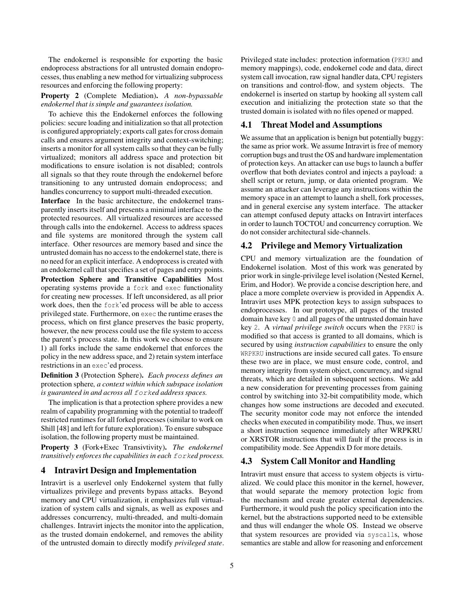The endokernel is responsible for exporting the basic endoprocess abstractions for all untrusted domain endoprocesses, thus enabling a new method for virtualizing subprocess resources and enforcing the following property:

### Property 2 (Complete Mediation). *A non-bypassable endokernel that is simple and guarantees isolation.*

To achieve this the Endokernel enforces the following policies: secure loading and initialization so that all protection is configured appropriately; exports call gates for cross domain calls and ensures argument integrity and context-switching; inserts a monitor for all system calls so that they can be fully virtualized; monitors all address space and protection bit modifications to ensure isolation is not disabled; controls all signals so that they route through the endokernel before transitioning to any untrusted domain endoprocess; and handles concurrency to support multi-threaded execution.

Interface In the basic architecture, the endokernel transparently inserts itself and presents a minimal interface to the protected resources. All virtualized resources are accessed through calls into the endokernel. Access to address spaces and file systems are monitored through the system call interface. Other resources are memory based and since the untrusted domain has no access to the endokernel state, there is no need for an explicit interface. A endoprocess is created with an endokernel call that specifies a set of pages and entry points. Protection Sphere and Transitive Capabilities Most

operating systems provide a fork and exec functionality for creating new processes. If left unconsidered, as all prior work does, then the fork'ed process will be able to access privileged state. Furthermore, on exec the runtime erases the process, which on first glance preserves the basic property, however, the new process could use the file system to access the parent's process state. In this work we choose to ensure 1) all forks include the same endokernel that enforces the policy in the new address space, and 2) retain system interface restrictions in an exec'ed process.

Definition 3 (Protection Sphere). *Each process defines an* protection sphere*, a context within which subspace isolation is guaranteed in and across all* fork*ed address spaces.*

The implication is that a protection sphere provides a new realm of capability programming with the potential to tradeoff restricted runtimes for all forked processes (similar to work on Shill [48] and left for future exploration). To ensure subspace isolation, the following property must be maintained.

Property 3 (Fork+Exec Transivtivity). *The endokernel transitively enforces the capabilities in each* fork*ed process.*

## 4 Intravirt Design and Implementation

Intravirt is a userlevel only Endokernel system that fully virtualizes privilege and prevents bypass attacks. Beyond memory and CPU virtualization, it emphasizes full virtualization of system calls and signals, as well as exposes and addresses concurrency, multi-threaded, and multi-domain challenges. Intravirt injects the monitor into the application, as the trusted domain endokernel, and removes the ability of the untrusted domain to directly modify *privileged state*. Privileged state includes: protection information (PKRU and memory mappings), code, endokernel code and data, direct system call invocation, raw signal handler data, CPU registers on transitions and control-flow, and system objects. The endokernel is inserted on startup by hooking all system call execution and initializing the protection state so that the trusted domain is isolated with no files opened or mapped.

## 4.1 Threat Model and Assumptions

We assume that an application is benign but potentially buggy: the same as prior work. We assume Intravirt is free of memory corruption bugs and trust the OS and hardware implementation of protection keys. An attacker can use bugs to launch a buffer overflow that both deviates control and injects a payload: a shell script or return, jump, or data oriented program. We assume an attacker can leverage any instructions within the memory space in an attempt to launch a shell, fork processes, and in general exercise any system interface. The attacker can attempt confused deputy attacks on Intravirt interfaces in order to launch TOCTOU and concurrency corruption. We do not consider architectural side-channels.

### 4.2 Privilege and Memory Virtualization

CPU and memory virtualization are the foundation of Endokernel isolation. Most of this work was generated by prior work in single-privilege level isolation (Nested Kernel, Erim, and Hodor). We provide a concise description here, and place a more complete overview is provided in Appendix A. Intravirt uses MPK protection keys to assign subspaces to endoprocesses. In our prototype, all pages of the trusted domain have key 0 and all pages of the untrusted domain have key 2. A *virtual privilege switch* occurs when the PKRU is modified so that access is granted to all domains, which is secured by using *instruction capabilities* to ensure the only WRPKRU instructions are inside secured call gates. To ensure these two are in place, we must ensure code, control, and memory integrity from system object, concurrency, and signal threats, which are detailed in subsequent sections. We add a new consideration for preventing processes from gaining control by switching into 32-bit compatibility mode, which changes how some instructions are decoded and executed. The security monitor code may not enforce the intended checks when executed in compatibility mode. Thus, we insert a short instruction sequence immediately after WRPKRU or XRSTOR instructions that will fault if the process is in compatibility mode. See Appendix D for more details.

### 4.3 System Call Monitor and Handling

Intravirt must ensure that access to system objects is virtualized. We could place this monitor in the kernel, however, that would separate the memory protection logic from the mechanism and create greater external dependencies. Furthermore, it would push the policy specification into the kernel, but the abstractions supported need to be extensible and thus will endanger the whole OS. Instead we observe that system resources are provided via syscalls, whose semantics are stable and allow for reasoning and enforcement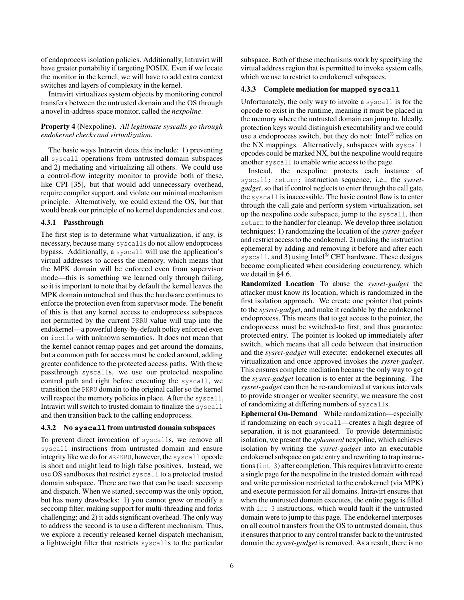of endoprocess isolation policies. Additionally, Intravirt will have greater portability if targeting POSIX. Even if we locate the monitor in the kernel, we will have to add extra context switches and layers of complexity in the kernel.

Intravirt virtualizes system objects by monitoring control transfers between the untrusted domain and the OS through a novel in-address space monitor, called the *nexpoline*.

#### Property 4 (Nexpoline). *All legitimate syscalls go through endokernel checks and virtualization.*

The basic ways Intravirt does this include: 1) preventing all syscall operations from untrusted domain subspaces and 2) mediating and virtualizing all others. We could use a control-flow integrity monitor to provide both of these, like CPI [35], but that would add unnecessary overhead, require compiler support, and violate our minimal mechanism principle. Alternatively, we could extend the OS, but that would break our principle of no kernel dependencies and cost.

#### 4.3.1 Passthrough

The first step is to determine what virtualization, if any, is necessary, because many syscalls do not allow endoprocess bypass. Additionally, a syscall will use the application's virtual addresses to access the memory, which means that the MPK domain will be enforced even from supervisor mode—this is something we learned only through failing, so it is important to note that by default the kernel leaves the MPK domain untouched and thus the hardware continues to enforce the protection even from supervisor mode. The benefit of this is that any kernel access to endoprocess subspaces not permitted by the current PKRU value will trap into the endokernel—a powerful deny-by-default policy enforced even on ioctls with unknown semantics. It does not mean that the kernel cannot remap pages and get around the domains, but a common path for access must be coded around, adding greater confidence to the protected access paths. With these passthrough syscalls, we use our protected nexpoline control path and right before executing the syscall, we transition the PKRU domain to the original caller so the kernel will respect the memory policies in place. After the syscall, Intravirt will switch to trusted domain to finalize the syscall and then transition back to the calling endoprocess.

#### 4.3.2 No **syscall** from untrusted domain subspaces

To prevent direct invocation of syscalls, we remove all syscall instructions from untrusted domain and ensure integrity like we do for WRPKRU, however, the syscall opcode is short and might lead to high false positives. Instead, we use OS sandboxes that restrict syscall to a protected trusted domain subspace. There are two that can be used: seccomp and dispatch. When we started, seccomp was the only option, but has many drawbacks: 1) you cannot grow or modify a seccomp filter, making support for multi-threading and forks challenging; and 2) it adds significant overhead. The only way to address the second is to use a different mechanism. Thus, we explore a recently released kernel dispatch mechanism, a lightweight filter that restricts syscalls to the particular

subspace. Both of these mechanisms work by specifying the virtual address region that is permitted to invoke system calls, which we use to restrict to endokernel subspaces.

#### 4.3.3 Complete mediation for mapped **syscall**

Unfortunately, the only way to invoke a syscall is for the opcode to exist in the runtime, meaning it must be placed in the memory where the untrusted domain can jump to. Ideally, protection keys would distinguish executability and we could use a endoprocess switch, but they do not: Intel<sup>®</sup> relies on the NX mappings. Alternatively, subspaces with syscall opcodes could be marked NX, but the nexpoline would require another syscall to enable write access to the page.

Instead, the nexpoline protects each instance of syscall; return; instruction sequence, i.e., the *sysretgadget*, so that if control neglects to enter through the call gate, the syscall is inaccessible. The basic control flow is to enter through the call gate and perform system virtualization, set up the nexpoline code subspace, jump to the syscall, then return to the handler for cleanup. We develop three isolation techniques: 1) randomizing the location of the *sysret-gadget* and restrict access to the endokernel, 2) making the instruction ephemeral by adding and removing it before and after each syscall, and 3) using Intel® CET hardware. These designs become complicated when considering concurrency, which we detail in §4.6.

Randomized Location To abuse the *sysret-gadget* the attacker must know its location, which is randomized in the first isolation approach. We create one pointer that points to the *sysret-gadget*, and make it readable by the endokernel endoprocess. This means that to get access to the pointer, the endoprocess must be switched-to first, and thus guarantee protected entry. The pointer is looked up immediately after switch, which means that all code between that instruction and the *sysret-gadget* will execute: endokernel executes all virtualization and once approved invokes the *sysret-gadget*. This ensures complete mediation because the only way to get the *sysret-gadget* location is to enter at the beginning. The *sysret-gadget* can then be re-randomized at various intervals to provide stronger or weaker security; we measure the cost of randomizing at differing numbers of syscalls.

Ephemeral On-Demand While randomization—especially if randomizing on each syscall—creates a high degree of separation, it is not guaranteed. To provide deterministic isolation, we present the *ephemeral* nexpoline, which achieves isolation by writing the *sysret-gadget* into an executable endokernel subspace on gate entry and rewriting to trap instructions (int 3) after completion. This requires Intravirt to create a single page for the nexpoline in the trusted domain with read and write permission restricted to the endokernel (via MPK) and execute permission for all domains. Intravirt ensures that when the untrusted domain executes, the entire page is filled with int 3 instructions, which would fault if the untrusted domain were to jump to this page. The endokernel interposes on all control transfers from the OS to untrusted domain, thus it ensures that prior to any control transfer back to the untrusted domain the *sysret-gadget* is removed. As a result, there is no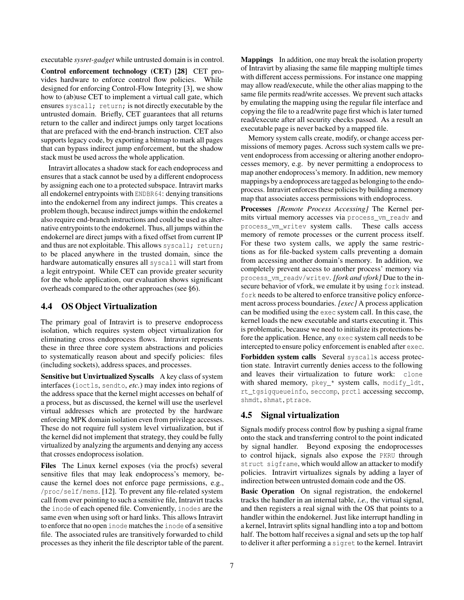executable *sysret-gadget* while untrusted domain is in control.

Control enforcement technology (CET) [28] CET provides hardware to enforce control flow policies. While designed for enforcing Control-Flow Integrity [3], we show how to (ab)use CET to implement a virtual call gate, which ensures syscall; return; is not directly executable by the untrusted domain. Briefly, CET guarantees that all returns return to the caller and indirect jumps only target locations that are prefaced with the end-branch instruction. CET also supports legacy code, by exporting a bitmap to mark all pages that can bypass indirect jump enforcement, but the shadow stack must be used across the whole application.

Intravirt allocates a shadow stack for each endoprocess and ensures that a stack cannot be used by a different endoprocess by assigning each one to a protected subspace. Intravirt marks all endokernel entrypoints with ENDBR64: denying transitions into the endokernel from any indirect jumps. This creates a problem though, because indirect jumps within the endokernel also require end-branch instructions and could be used as alternative entrypoints to the endokernel. Thus, all jumps within the endokernel are direct jumps with a fixed offset from current IP and thus are not exploitable. This allows syscall; return; to be placed anywhere in the trusted domain, since the hardware automatically ensures all syscall will start from a legit entrypoint. While CET can provide greater security for the whole application, our evaluation shows significant overheads compared to the other approaches (see §6).

### 4.4 OS Object Virtualization

The primary goal of Intravirt is to preserve endoprocess isolation, which requires system object virtualization for eliminating cross endoprocess flows. Intravirt represents these in three three core system abstractions and policies to systematically reason about and specify policies: files (including sockets), address spaces, and processes.

Sensitive but Unvirtualized Syscalls A key class of system interfaces (ioctls, sendto, *etc.*) may index into regions of the address space that the kernel might accesses on behalf of a process, but as discussed, the kernel will use the userlevel virtual addresses which are protected by the hardware enforcing MPK domain isolation even from privilege accesses. These do not require full system level virtualization, but if the kernel did not implement that strategy, they could be fully virtualized by analyzing the arguments and denying any access that crosses endoprocess isolation.

Files The Linux kernel exposes (via the procfs) several sensitive files that may leak endoprocess's memory, because the kernel does not enforce page permissions, e.g., /proc/self/mems. [12]. To prevent any file-related system call from ever pointing to such a sensitive file, Intravirt tracks the inode of each opened file. Conveniently, inodes are the same even when using soft or hard links. This allows Intravirt to enforce that no open inode matches the inode of a sensitive file. The associated rules are transitively forwarded to child processes as they inherit the file descriptor table of the parent. Mappings In addition, one may break the isolation property of Intravirt by aliasing the same file mapping multiple times with different access permissions. For instance one mapping may allow read/execute, while the other alias mapping to the same file permits read/write accesses. We prevent such attacks by emulating the mapping using the regular file interface and copying the file to a read/write page first which is later turned read/execute after all security checks passed. As a result an executable page is never backed by a mapped file.

Memory system calls create, modify, or change access permissions of memory pages. Across such system calls we prevent endoprocess from accessing or altering another endoprocesses memory, e.g. by never permitting a endoprocess to map another endoprocess's memory. In addition, new memory mappings by a endoprocess are tagged as belonging to the endoprocess. Intravirt enforces these policies by building a memory map that associates access permissions with endoprocess.

Processes *[Remote Process Accessing]* The Kernel permits virtual memory accesses via process\_vm\_readv and process\_vm\_writev system calls. These calls access memory of remote processes or the current process itself. For these two system calls, we apply the same restrictions as for file-backed system calls preventing a domain from accessing another domain's memory. In addition, we completely prevent access to another process' memory via process\_vm\_readv/writev. *[fork and vfork]* Due to the insecure behavior of vfork, we emulate it by using fork instead. fork needs to be altered to enforce transitive policy enforcement across process boundaries. *[exec]* A process application can be modified using the exec system call. In this case, the kernel loads the new executable and starts executing it. This is problematic, because we need to initialize its protections before the application. Hence, any exec system call needs to be intercepted to ensure policy enforcement is enabled after exec.

Forbidden system calls Several syscalls access protection state. Intravirt currently denies access to the following and leaves their virtualization to future work: clone with shared memory, pkey\_\* system calls, modify\_ldt, rt\_tgsigqueueinfo, seccomp, prctl accessing seccomp, shmdt, shmat, ptrace.

### 4.5 Signal virtualization

Signals modify process control flow by pushing a signal frame onto the stack and transferring control to the point indicated by signal handler. Beyond exposing the endoprocesses to control hijack, signals also expose the PKRU through struct sigframe, which would allow an attacker to modify policies. Intravirt virtualizes signals by adding a layer of indirection between untrusted domain code and the OS.

Basic Operation On signal registration, the endokernel tracks the handler in an internal table, *i.e.,* the virtual signal, and then registers a real signal with the OS that points to a handler within the endokernel. Just like interrupt handling in a kernel, Intravirt splits signal handling into a top and bottom half. The bottom half receives a signal and sets up the top half to deliver it after performing a sigret to the kernel. Intravirt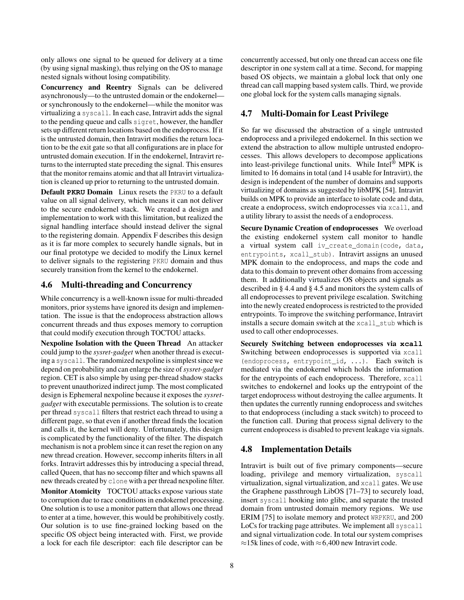only allows one signal to be queued for delivery at a time (by using signal masking), thus relying on the OS to manage nested signals without losing compatibility.

Concurrency and Reentry Signals can be delivered asynchronously—to the untrusted domain or the endokernel or synchronously to the endokernel—while the monitor was virtualizing a syscall. In each case, Intravirt adds the signal to the pending queue and calls sigret, however, the handler sets up different return locations based on the endoprocess. If it is the untrusted domain, then Intravirt modifies the return location to be the exit gate so that all configurations are in place for untrusted domain execution. If in the endokernel, Intravirt returns to the interrupted state preceding the signal. This ensures that the monitor remains atomic and that all Intravirt virtualization is cleaned up prior to returning to the untrusted domain.

Default **PKRU** Domain Linux resets the PKRU to a default value on all signal delivery, which means it can not deliver to the secure endokernel stack. We created a design and implementation to work with this limitation, but realized the signal handling interface should instead deliver the signal to the registering domain. Appendix F describes this design as it is far more complex to securely handle signals, but in our final prototype we decided to modify the Linux kernel to deliver signals to the registering PKRU domain and thus securely transition from the kernel to the endokernel.

### 4.6 Multi-threading and Concurrency

While concurrency is a well-known issue for multi-threaded monitors, prior systems have ignored its design and implementation. The issue is that the endoprocess abstraction allows concurrent threads and thus exposes memory to corruption that could modify execution through TOCTOU attacks.

Nexpoline Isolation with the Queen Thread An attacker could jump to the *sysret-gadget* when another thread is executing a syscall. The randomized nexpoline is simplest since we depend on probability and can enlarge the size of*sysret-gadget* region. CET is also simple by using per-thread shadow stacks to prevent unauthorized indirect jump. The most complicated design is Ephemeral nexpoline because it exposes the *sysretgadget* with executable permissions. The solution is to create per thread syscall filters that restrict each thread to using a different page, so that even if another thread finds the location and calls it, the kernel will deny. Unfortunately, this design is complicated by the functionality of the filter. The dispatch mechanism is not a problem since it can reset the region on any new thread creation. However, seccomp inherits filters in all forks. Intravirt addresses this by introducing a special thread, called Queen, that has no seccomp filter and which spawns all new threads created by clone with a per thread nexpoline filter.

Monitor Atomicity TOCTOU attacks expose various state to corruption due to race conditions in endokernel processing. One solution is to use a monitor pattern that allows one thread to enter at a time, however, this would be prohibitively costly. Our solution is to use fine-grained locking based on the specific OS object being interacted with. First, we provide a lock for each file descriptor: each file descriptor can be

concurrently accessed, but only one thread can access one file descriptor in one system call at a time. Second, for mapping based OS objects, we maintain a global lock that only one thread can call mapping based system calls. Third, we provide one global lock for the system calls managing signals.

## 4.7 Multi-Domain for Least Privilege

So far we discussed the abstraction of a single untrusted endoprocess and a privileged endokernel. In this section we extend the abstraction to allow multiple untrusted endoprocesses. This allows developers to decompose applications into least-privilege functional units. While Intel® MPK is limited to 16 domains in total (and 14 usable for Intravirt), the design is independent of the number of domains and supports virtualizing of domains as suggested by libMPK [54]. Intravirt builds on MPK to provide an interface to isolate code and data, create a endoprocess, switch endoprocesses via xcall, and a utility library to assist the needs of a endoprocess.

Secure Dynamic Creation of endoprocesses We overload the existing endokernel system call monitor to handle a virtual system call iv\_create\_domain(code, data, entrypoints, xcall stub). Intravirt assigns an unused MPK domain to the endoprocess, and maps the code and data to this domain to prevent other domains from accessing them. It additionally virtualizes OS objects and signals as described in § 4.4 and § 4.5 and monitors the system calls of all endoprocesses to prevent privilege escalation. Switching into the newly created endoprocess is restricted to the provided entrypoints. To improve the switching performance, Intravirt installs a secure domain switch at the xcall\_stub which is used to call other endoprocesses.

Securely Switching between endoprocesses via **xcall** Switching between endoprocesses is supported via xcall (endoprocess, entrypoint\_id, ...). Each switch is mediated via the endokernel which holds the information for the entrypoints of each endoprocess. Therefore, xcall switches to endokernel and looks up the entrypoint of the target endoprocess without destroying the callee arguments. It then updates the currently running endoprocess and switches to that endoprocess (including a stack switch) to proceed to the function call. During that process signal delivery to the current endoprocess is disabled to prevent leakage via signals.

## 4.8 Implementation Details

Intravirt is built out of five primary components—secure loading, privilege and memory virtualization, syscall virtualization, signal virtualization, and xcall gates. We use the Graphene passthrough LibOS [71–73] to securely load, insert syscall hooking into glibc, and separate the trusted domain from untrusted domain memory regions. We use ERIM [75] to isolate memory and protect WRPKRU, and 200 LoCs for tracking page attributes. We implement all syscall and signal virtualization code. In total our system comprises  $\approx$ 15k lines of code, with  $\approx$  6,400 new Intravirt code.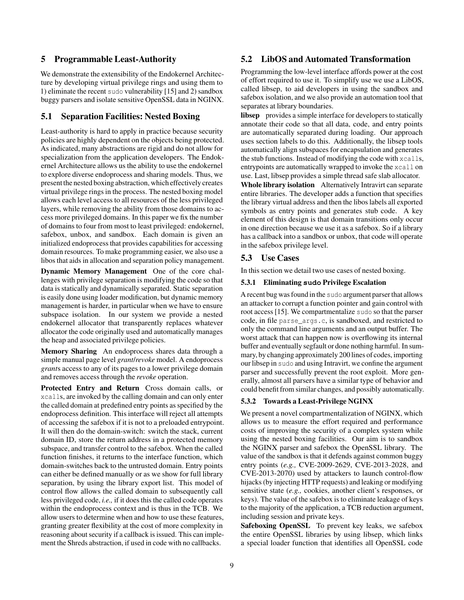### 5 Programmable Least-Authority

We demonstrate the extensibility of the Endokernel Architecture by developing virtual privilege rings and using them to 1) eliminate the recent sudo vulnerability [15] and 2) sandbox buggy parsers and isolate sensitive OpenSSL data in NGINX.

## 5.1 Separation Facilities: Nested Boxing

Least-authority is hard to apply in practice because security policies are highly dependent on the objects being protected. As indicated, many abstractions are rigid and do not allow for specialization from the application developers. The Endokernel Architecture allows us the ability to use the endokernel to explore diverse endoprocess and sharing models. Thus, we present the nested boxing abstraction, which effectively creates virtual privilege rings in the process. The nested boxing model allows each level access to all resources of the less privileged layers, while removing the ability from those domains to access more privileged domains. In this paper we fix the number of domains to four from most to least privileged: endokernel, safebox, unbox, and sandbox. Each domain is given an initialized endoprocess that provides capabilities for accessing domain resources. To make programming easier, we also use a libos that aids in allocation and separation policy management.

Dynamic Memory Management One of the core challenges with privilege separation is modifying the code so that data is statically and dynamically separated. Static separation is easily done using loader modification, but dynamic memory management is harder, in particular when we have to ensure subspace isolation. In our system we provide a nested endokernel allocator that transparently replaces whatever allocator the code originally used and automatically manages the heap and associated privilege policies.

Memory Sharing An endoprocess shares data through a simple manual page level *grant*/*revoke* model. A endoprocess *grant*s access to any of its pages to a lower privilege domain and removes access through the *revoke* operation.

Protected Entry and Return Cross domain calls, or xcalls, are invoked by the calling domain and can only enter the called domain at predefined entry points as specified by the endoprocess definition. This interface will reject all attempts of accessing the safebox if it is not to a preloaded entrypoint. It will then do the domain-switch: switch the stack, current domain ID, store the return address in a protected memory subspace, and transfer control to the safebox. When the called function finishes, it returns to the interface function, which domain-switches back to the untrusted domain. Entry points can either be defined manually or as we show for full library separation, by using the library export list. This model of control flow allows the called domain to subsequently call less privileged code, *i.e.,* if it does this the called code operates within the endoprocess context and is thus in the TCB. We allow users to determine when and how to use these features, granting greater flexibility at the cost of more complexity in reasoning about security if a callback is issued. This can implement the Shreds abstraction, if used in code with no callbacks.

## 5.2 LibOS and Automated Transformation

Programming the low-level interface affords power at the cost of effort required to use it. To simplify use we use a LibOS, called libsep, to aid developers in using the sandbox and safebox isolation, and we also provide an automation tool that separates at library boundaries.

libsep provides a simple interface for developers to statically annotate their code so that all data, code, and entry points are automatically separated during loading. Our approach uses section labels to do this. Additionally, the libsep tools automatically align subspaces for encapsulation and generates the stub functions. Instead of modifying the code with xcalls, entrypoints are automatically wrapped to invoke the xcall on use. Last, libsep provides a simple thread safe slab allocator.

Whole library isolation Alternatively Intravirt can separate entire libraries. The developer adds a function that specifies the library virtual address and then the libos labels all exported symbols as entry points and generates stub code. A key element of this design is that domain transitions only occur in one direction because we use it as a safebox. So if a library has a callback into a sandbox or unbox, that code will operate in the safebox privilege level.

## 5.3 Use Cases

In this section we detail two use cases of nested boxing.

### 5.3.1 Eliminating **sudo** Privilege Escalation

A recent bug was found in the sudo argument parser that allows an attacker to corrupt a function pointer and gain control with root access [15]. We compartmentalize sudo so that the parser code, in file parse\_args.c, is sandboxed, and restricted to only the command line arguments and an output buffer. The worst attack that can happen now is overflowing its internal buffer and eventually segfault or done nothing harmful. In summary, by changing approximately 200 lines of codes, importing our libsep in sudo and using Intravirt, we confine the argument parser and successfully prevent the root exploit. More generally, almost all parsers have a similar type of behavior and could benefit from similar changes, and possibly automatically.

### 5.3.2 Towards a Least-Privilege NGINX

We present a novel compartmentalization of NGINX, which allows us to measure the effort required and performance costs of improving the security of a complex system while using the nested boxing facilities. Our aim is to sandbox the NGINX parser and safebox the OpenSSL library. The value of the sandbox is that it defends against common buggy entry points (*e.g.,* CVE-2009-2629, CVE-2013-2028, and CVE-2013-2070) used by attackers to launch control-flow hijacks (by injecting HTTP requests) and leaking or modifying sensitive state (*e.g.,* cookies, another client's responses, or keys). The value of the safebox is to eliminate leakage of keys to the majority of the application, a TCB reduction argument, including session and private keys.

Safeboxing OpenSSL To prevent key leaks, we safebox the entire OpenSSL libraries by using libsep, which links a special loader function that identifies all OpenSSL code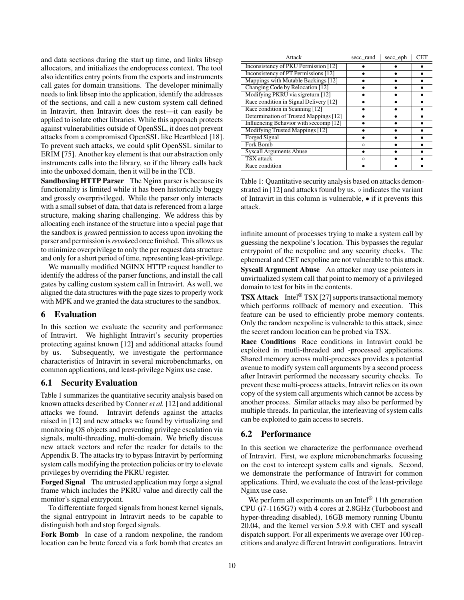and data sections during the start up time, and links libsep allocators, and initializes the endoprocess context. The tool also identifies entry points from the exports and instruments call gates for domain transitions. The developer minimally needs to link libsep into the application, identify the addresses of the sections, and call a new custom system call defined in Intravirt, then Intravirt does the rest—it can easily be applied to isolate other libraries. While this approach protects against vulnerabilities outside of OpenSSL, it does not prevent attacks from a compromised OpenSSL like Heartbleed [18]. To prevent such attacks, we could split OpenSSL similar to ERIM [75]. Another key element is that our abstraction only instruments calls into the library, so if the library calls back into the unboxed domain, then it will be in the TCB.

Sandboxing HTTP Parser The Nginx parser is because its functionality is limited while it has been historically buggy and grossly overprivileged. While the parser only interacts with a small subset of data, that data is referenced from a large structure, making sharing challenging. We address this by allocating each instance of the structure into a special page that the sandbox is *grant*ed permission to access upon invoking the parser and permission is*revoke*ed once finished. This allows us to minimize overprivilege to only the per request data structure and only for a short period of time, representing least-privilege.

We manually modified NGINX HTTP request handler to identify the address of the parser functions, and install the call gates by calling custom system call in Intravirt. As well, we aligned the data structures with the page sizes to properly work with MPK and we granted the data structures to the sandbox.

### 6 Evaluation

In this section we evaluate the security and performance of Intravirt. We highlight Intravirt's security properties protecting against known [12] and additional attacks found by us. Subsequently, we investigate the performance characteristics of Intravirt in several microbenchmarks, on common applications, and least-privilege Nginx use case.

### 6.1 Security Evaluation

Table 1 summarizes the quantitative security analysis based on known attacks described by Conner *et al.* [12] and additional attacks we found. Intravirt defends against the attacks raised in [12] and new attacks we found by virtualizing and monitoring OS objects and preventing privilege escalation via signals, multi-threading, multi-domain. We briefly discuss new attack vectors and refer the reader for details to the Appendix B. The attacks try to bypass Intravirt by performing system calls modifying the protection policies or try to elevate privileges by overriding the PKRU register.

Forged Signal The untrusted application may forge a signal frame which includes the PKRU value and directly call the monitor's signal entrypoint.

To differentiate forged signals from honest kernel signals, the signal entrypoint in Intravirt needs to be capable to distinguish both and stop forged signals.

Fork Bomb In case of a random nexpoline, the random location can be brute forced via a fork bomb that creates an

| Attack                                 | secc rand | secc_eph | <b>CET</b> |
|----------------------------------------|-----------|----------|------------|
| Inconsistency of PKU Permission [12]   |           |          |            |
| Inconsistency of PT Permissions [12]   |           |          |            |
| Mappings with Mutable Backings [12]    |           |          |            |
| Changing Code by Relocation [12]       |           |          |            |
| Modifying PKRU via sigreturn [12]      |           |          |            |
| Race condition in Signal Delivery [12] |           |          |            |
| Race condition in Scanning [12]        |           |          |            |
| Determination of Trusted Mappings [12] |           |          |            |
| Influencing Behavior with seccomp [12] |           |          |            |
| Modifying Trusted Mappings [12]        |           |          |            |
| <b>Forged Signal</b>                   |           |          |            |
| Fork Bomb                              | $\circ$   |          |            |
| <b>Syscall Arguments Abuse</b>         |           |          |            |
| TSX attack                             | $\circ$   |          |            |
| Race condition                         |           |          |            |

Table 1: Quantitative security analysis based on attacks demonstrated in  $[12]$  and attacks found by us.  $\circ$  indicates the variant of Intravirt in this column is vulnerable, • if it prevents this attack.

infinite amount of processes trying to make a system call by guessing the nexpoline's location. This bypasses the regular entrypoint of the nexpoline and any security checks. The ephemeral and CET nexpoline are not vulnerable to this attack.

Syscall Argument Abuse An attacker may use pointers in unvirtualized system call that point to memory of a privileged domain to test for bits in the contents.

**TSX Attack** Intel<sup>®</sup> TSX [27] supports transactional memory which performs rollback of memory and execution. This feature can be used to efficiently probe memory contents. Only the random nexpoline is vulnerable to this attack, since the secret random location can be probed via TSX.

Race Conditions Race conditions in Intravirt could be exploited in mutli-threaded and -processed applications. Shared memory across multi-processes provides a potential avenue to modify system call arguments by a second process after Intravirt performed the necessary security checks. To prevent these multi-process attacks, Intravirt relies on its own copy of the system call arguments which cannot be access by another process. Similar attacks may also be performed by multiple threads. In particular, the interleaving of system calls can be exploited to gain access to secrets.

## 6.2 Performance

In this section we characterize the performance overhead of Intravirt. First, we explore microbenchmarks focussing on the cost to intercept system calls and signals. Second, we demonstrate the performance of Intravirt for common applications. Third, we evaluate the cost of the least-privilege Nginx use case.

We perform all experiments on an Intel $^{\circledR}$  11th generation CPU (i7-1165G7) with 4 cores at 2.8GHz (Turboboost and hyper-threading disabled), 16GB memory running Ubuntu 20.04, and the kernel version 5.9.8 with CET and syscall dispatch support. For all experiments we average over 100 repetitions and analyze different Intravirt configurations. Intravirt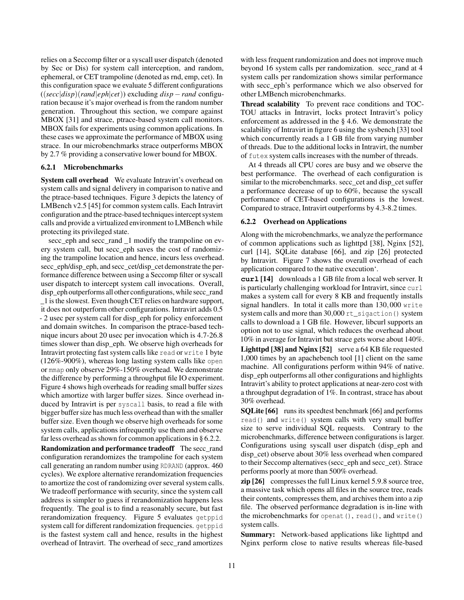relies on a Seccomp filter or a syscall user dispatch (denoted by Sec or Dis) for system call interception, and random, ephemeral, or CET trampoline (denoted as rnd, emp, cet). In this configuration space we evaluate 5 different configurations ((*secc*|*disp*)(*rand*|*eph*|*cet*)) excluding *disp* − *rand* configuration because it's major overhead is from the random number generation. Throughout this section, we compare against MBOX [31] and strace, ptrace-based system call monitors. MBOX fails for experiments using common applications. In these cases we approximate the performance of MBOX using strace. In our microbenchmarks strace outperforms MBOX by 2.7 % providing a conservative lower bound for MBOX.

#### 6.2.1 Microbenchmarks

System call overhead We evaluate Intravirt's overhead on system calls and signal delivery in comparison to native and the ptrace-based techniques. Figure 3 depicts the latency of LMBench v2.5 [45] for common system calls. Each Intravirt configuration and the ptrace-based techniques intercept system calls and provide a virtualized environment to LMBench while protecting its privileged state.

secc\_eph and secc\_rand \_1 modify the trampoline on every system call, but secc\_eph saves the cost of randomizing the trampoline location and hence, incurs less overhead. secc\_eph/disp\_eph, and secc\_cet/disp\_cet demonstrate the performance difference between using a Seccomp filter or syscall user dispatch to intercept system call invocations. Overall, disp\_eph outperforms all other configurations, while secc\_rand \_1 is the slowest. Even though CET relies on hardware support, it does not outperform other configurations. Intravirt adds 0.5 - 2 usec per system call for disp eph for policy enforcement and domain switches. In comparison the ptrace-based technique incurs about 20 usec per invocation which is 4.7-26.8 times slower than disp\_eph. We observe high overheads for Intravirt protecting fast system calls like read or write 1 byte (126%-900%), whereas long lasting system calls like open or mmap only observe 29%-150% overhead. We demonstrate the difference by performing a throughput file IO experiment. Figure 4 shows high overheads for reading small buffer sizes which amortize with larger buffer sizes. Since overhead induced by Intravirt is per syscall basis, to read a file with bigger buffer size has much less overhead than with the smaller buffer size. Even though we observe high overheads for some system calls, applications infrequently use them and observe far less overhead as shown for common applications in § 6.2.2. Randomization and performance tradeoff The secc\_rand

configuration rerandomizes the trampoline for each system call generating an random number using RDRAND (approx. 460 cycles). We explore alternative rerandomization frequencies to amortize the cost of randomizing over several system calls. We tradeoff performance with security, since the system call address is simpler to guess if rerandomization happens less frequently. The goal is to find a reasonably secure, but fast rerandomization frequency. Figure 5 evaluates getppid system call for different randomization frequencies. getppid is the fastest system call and hence, results in the highest overhead of Intravirt. The overhead of secc\_rand amortizes

with less frequent randomization and does not improve much beyond 16 system calls per randomization. secc\_rand at 4 system calls per randomization shows similar performance with secc\_eph's performance which we also observed for other LMBench microbenchmarks.

Thread scalability To prevent race conditions and TOC-TOU attacks in Intravirt, locks protect Intravirt's policy enforcement as addressed in the § 4.6. We demonstrate the scalability of Intravirt in figure 6 using the sysbench [33] tool which concurrently reads a 1 GB file from varying number of threads. Due to the additional locks in Intravirt, the number of futex system calls increases with the number of threads.

At 4 threads all CPU cores are busy and we observe the best performance. The overhead of each configuration is similar to the microbenchmarks. secc\_cet and disp\_cet suffer a performance decrease of up to 60%, because the syscall performance of CET-based configurations is the lowest. Compared to strace, Intravirt outperforms by 4.3-8.2 times.

#### 6.2.2 Overhead on Applications

Along with the microbenchmarks, we analyze the performance of common applications such as lighttpd [38], Nginx [52], curl [14], SQLite database [66], and zip [26] protected by Intravirt. Figure 7 shows the overall overhead of each application compared to the native execution'.

**curl** [14] downloads a 1 GB file from a local web server. It is particularly challenging workload for Intravirt, since curl makes a system call for every 8 KB and frequently installs signal handlers. In total it calls more than 130, 000 write system calls and more than 30,000 rt sigaction() system calls to download a 1 GB file. However, libcurl supports an option not to use signal, which reduces the overhead about 10% in average for Intravirt but strace gets worse about 140%. Lighttpd [38] and Nginx [52] serve a 64 KB file requested 1,000 times by an apachebench tool [1] client on the same machine. All configurations perform within 94% of native. disp\_eph outperforms all other configurations and highlights Intravirt's ability to protect applications at near-zero cost with a throughput degradation of 1%. In contrast, strace has about 30% overhead.

SQLite [66] runs its speedtest benchmark [66] and performs read() and write() system calls with very small buffer size to serve individual SQL requests. Contrary to the microbenchmarks, difference between configurations is larger. Configurations using syscall user dispatch (disp\_eph and disp\_cet) observe about 30% less overhead when compared to their Seccomp alternatives (secc\_eph and secc\_cet). Strace performs poorly at more than 500% overhead.

zip [26] compresses the full Linux kernel 5.9.8 source tree, a massive task which opens all files in the source tree, reads their contents, compresses them, and archives them into a zip file. The observed performance degradation is in-line with the microbenchmarks for openat(), read(), and write() system calls.

Summary: Network-based applications like lighttpd and Nginx perform close to native results whereas file-based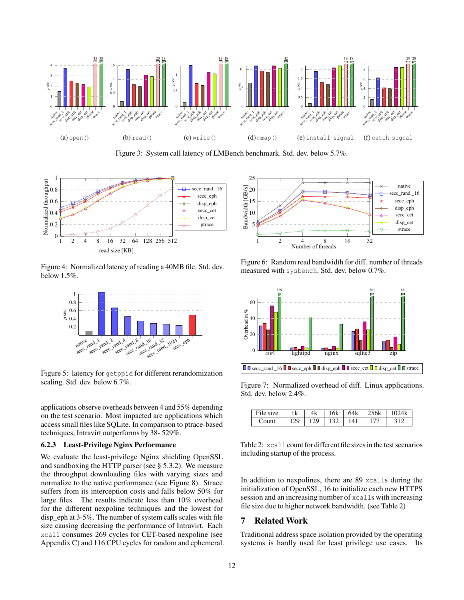

Figure 3: System call latency of LMBench benchmark. Std. dev. below 5.7%.



Figure 4: Normalized latency of reading a 40MB file. Std. dev. below 1.5%.



Figure 5: latency for getppid for different rerandomization scaling. Std. dev. below 6.7%.

applications observe overheads between 4 and 55% depending on the test scenario. Most impacted are applications which access small files like SQLite. In comparison to ptrace-based techniques, Intravirt outperforms by 38- 529%.

#### 6.2.3 Least-Privilege Nginx Performance

We evaluate the least-privilege Nginx shielding OpenSSL and sandboxing the HTTP parser (see § 5.3.2). We measure the throughput downloading files with varying sizes and normalize to the native performance (see Figure 8). Strace suffers from its interception costs and falls below 50% for large files. The results indicate less than 10% overhead for the different nexpoline techniques and the lowest for disp\_eph at 3-5%. The number of system calls scales with file size causing decreasing the performance of Intravirt. Each xcall consumes 269 cycles for CET-based nexpoline (see Appendix C) and 116 CPU cycles for random and ephemeral.



Figure 6: Random read bandwidth for diff. number of threads measured with sysbench. Std. dev. below 0.7%.



Figure 7: Normalized overhead of diff. Linux applications. Std. dev. below 2.4%.

| File size | 1k  |     | 16k | 64k | 256k |  |
|-----------|-----|-----|-----|-----|------|--|
| 'ount     | , 0 | 120 | 132 |     |      |  |

Table 2: xcall count for different file sizes in the test scenarios including startup of the process.

In addition to nexpolines, there are 89 xcalls during the initialization of OpenSSL, 16 to initialize each new HTTPS session and an increasing number of xcalls with increasing file size due to higher network bandwidth. (see Table 2)

### 7 Related Work

Traditional address space isolation provided by the operating systems is hardly used for least privilege use cases. Its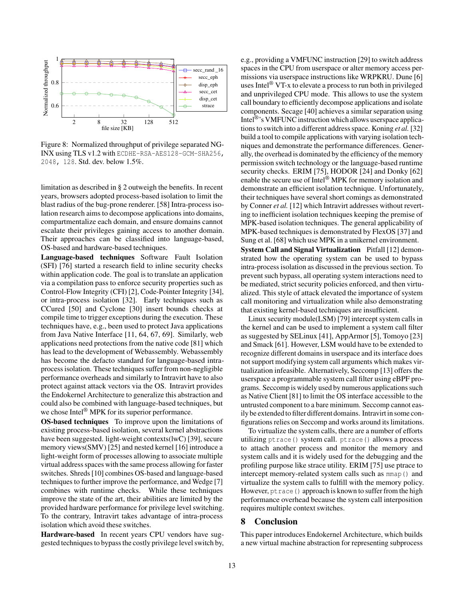

Figure 8: Normalized throughput of privilege separated NG-INX using TLS v1.2 with ECDHE-RSA-AES128-GCM-SHA256, 2048, 128. Std. dev. below 1.5%.

limitation as described in § 2 outweigh the benefits. In recent years, browsers adopted process-based isolation to limit the blast radius of the bug-prone renderer. [58] Intra-process isolation research aims to decompose applications into domains, compartmentalize each domain, and ensure domains cannot escalate their privileges gaining access to another domain. Their approaches can be classified into language-based, OS-based and hardware-based techniques.

Language-based techniques Software Fault Isolation (SFI) [76] started a research field to inline security checks within application code. The goal is to translate an application via a compilation pass to enforce security properties such as Control-Flow Integrity (CFI) [2], Code-Pointer Integrity [34], or intra-process isolation [32]. Early techniques such as CCured [50] and Cyclone [30] insert bounds checks at compile time to trigger exceptions during the execution. These techniques have, e.g., been used to protect Java applications from Java Native Interface [11, 64, 67, 69]. Similarly, web applications need protections from the native code [81] which has lead to the development of Webassembly. Webassembly has become the defacto standard for language-based intraprocess isolation. These techniques suffer from non-negligible performance overheads and similarly to Intravirt have to also protect against attack vectors via the OS. Intravirt provides the Endokernel Architecture to generalize this abstraction and could also be combined with language-based techniques, but we chose Intel® MPK for its superior performance.

OS-based techniques To improve upon the limitations of existing process-based isolation, several kernel abstractions have been suggested. light-weight contexts(lwC) [39], secure memory views(SMV) [25] and nested kernel [16] introduce a light-weight form of processes allowing to associate multiple virtual address spaces with the same process allowing for faster switches. Shreds [10] combines OS-based and language-based techniques to further improve the performance, and Wedge [7] combines with runtime checks. While these techniques improve the state of the art, their abilities are limited by the provided hardware performance for privilege level switching. To the contrary, Intravirt takes advantage of intra-process isolation which avoid these switches.

Hardware-based In recent years CPU vendors have suggested techniques to bypass the costly privilege level switch by, e.g., providing a VMFUNC instruction [29] to switch address spaces in the CPU from userspace or alter memory access permissions via userspace instructions like WRPKRU. Dune [6] uses Intel® VT-x to elevate a process to run both in privileged and unprivileged CPU mode. This allows to use the system call boundary to efficiently decompose applications and isolate components. Secage [40] achieves a similar separation using Intel<sup>®</sup>'s VMFUNC instruction which allows userspace applications to switch into a different address space. Koning *et al.* [32] build a tool to compile applications with varying isolation techniques and demonstrate the performance differences. Generally, the overhead is dominated by the efficiency of the memory permission switch technology or the language-based runtime security checks. ERIM [75], HODOR [24] and Donky [62] enable the secure use of Intel<sup>®</sup> MPK for memory isolation and demonstrate an efficient isolation technique. Unfortunately, their techniques have several short comings as demonstrated by Conner *et al.* [12] which Intravirt addresses without reverting to inefficient isolation techniques keeping the premise of MPK-based isolation techniques. The general applicability of MPK-based techniques is demonstrated by FlexOS [37] and Sung et al. [68] which use MPK in a unikernel environment.

System Call and Signal Virtualization Pitfall [12] demonstrated how the operating system can be used to bypass intra-process isolation as discussed in the previous section. To prevent such bypass, all operating system interactions need to be mediated, strict security policies enforced, and then virtualized. This style of attack elevated the importance of system call monitoring and virtualization while also demonstrating that existing kernel-based techniques are insufficient.

Linux security module(LSM) [79] intercept system calls in the kernel and can be used to implement a system call filter as suggested by SELinux [41], AppArmor [5], Tomoyo [23] and Smack [61]. However, LSM would have to be extended to recognize different domains in userspace and its interface does not support modifying system call arguments which makes virtualization infeasible. Alternatively, Seccomp [13] offers the userspace a programmable system call filter using eBPF programs. Seccomp is widely used by numerous applications such as Native Client [81] to limit the OS interface accessible to the untrusted component to a bare minimum. Seccomp cannot easily be extended to filter different domains. Intravirt in some configurations relies on Seccomp and works around its limitations.

To virtualize the system calls, there are a number of efforts utilizing ptrace() system call. ptrace() allows a process to attach another process and monitor the memory and system calls and it is widely used for the debugging and the profiling purpose like strace utility. ERIM [75] use ptrace to intercept memory-related system calls such as mmap() and virtualize the system calls to fulfill with the memory policy. However, ptrace() approach is known to suffer from the high performance overhead because the system call interposition requires multiple context switches.

### 8 Conclusion

This paper introduces Endokernel Architecture, which builds a new virtual machine abstraction for representing subprocess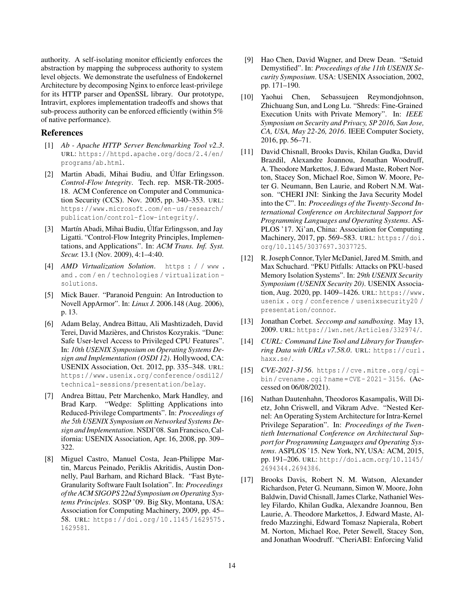authority. A self-isolating monitor efficiently enforces the abstraction by mapping the subprocess authority to system level objects. We demonstrate the usefulness of Endokernel Architecture by decomposing Nginx to enforce least-privilege for its HTTP parser and OpenSSL library. Our prototype, Intravirt, explores implementation tradeoffs and shows that sub-process authority can be enforced efficiently (within 5% of native performance).

#### References

- [1] *Ab Apache HTTP Server Benchmarking Tool v2.3*. URL: https://httpd.apache.org/docs/2.4/en/ programs/ab.html.
- [2] Martin Abadi, Mihai Budiu, and Úlfar Erlingsson. *Control-Flow Integrity*. Tech. rep. MSR-TR-2005- 18. ACM Conference on Computer and Communication Security (CCS). Nov. 2005, pp. 340–353. URL: https://www.microsoft.com/en-us/research/ publication/control-flow-integrity/.
- [3] Martín Abadi, Mihai Budiu, Úlfar Erlingsson, and Jay Ligatti. "Control-Flow Integrity Principles, Implementations, and Applications". In: *ACM Trans. Inf. Syst. Secur.* 13.1 (Nov. 2009), 4:1–4:40.
- [4] *AMD Virtualization Solution*. https : / / www . amd . com / en / technologies / virtualization solutions.
- [5] Mick Bauer. "Paranoid Penguin: An Introduction to Novell AppArmor". In: *Linux J.* 2006.148 (Aug. 2006), p. 13.
- [6] Adam Belay, Andrea Bittau, Ali Mashtizadeh, David Terei, David Mazières, and Christos Kozyrakis. "Dune: Safe User-level Access to Privileged CPU Features". In: *10th USENIX Symposium on Operating Systems Design and Implementation (OSDI 12)*. Hollywood, CA: USENIX Association, Oct. 2012, pp. 335–348. URL: https://www.usenix.org/conference/osdi12/ technical-sessions/presentation/belay.
- [7] Andrea Bittau, Petr Marchenko, Mark Handley, and Brad Karp. "Wedge: Splitting Applications into Reduced-Privilege Compartments". In: *Proceedings of the 5th USENIX Symposium on Networked Systems Design and Implementation*. NSDI'08. San Francisco, California: USENIX Association, Apr. 16, 2008, pp. 309– 322.
- [8] Miguel Castro, Manuel Costa, Jean-Philippe Martin, Marcus Peinado, Periklis Akritidis, Austin Donnelly, Paul Barham, and Richard Black. "Fast Byte-Granularity Software Fault Isolation". In: *Proceedings of the ACM SIGOPS 22nd Symposium on Operating Systems Principles*. SOSP '09. Big Sky, Montana, USA: Association for Computing Machinery, 2009, pp. 45– 58. URL: https://doi.org/10.1145/1629575. 1629581.
- [9] Hao Chen, David Wagner, and Drew Dean. "Setuid Demystified". In: *Proceedings of the 11th USENIX Security Symposium*. USA: USENIX Association, 2002, pp. 171–190.
- [10] Yaohui Chen, Sebassujeen Reymondjohnson, Zhichuang Sun, and Long Lu. "Shreds: Fine-Grained Execution Units with Private Memory". In: *IEEE Symposium on Security and Privacy, SP 2016, San Jose, CA, USA, May 22-26, 2016*. IEEE Computer Society, 2016, pp. 56–71.
- [11] David Chisnall, Brooks Davis, Khilan Gudka, David Brazdil, Alexandre Joannou, Jonathan Woodruff, A. Theodore Markettos, J. Edward Maste, Robert Norton, Stacey Son, Michael Roe, Simon W. Moore, Peter G. Neumann, Ben Laurie, and Robert N.M. Watson. "CHERI JNI: Sinking the Java Security Model into the C". In: *Proceedings of the Twenty-Second International Conference on Architectural Support for Programming Languages and Operating Systems*. AS-PLOS '17. Xi'an, China: Association for Computing Machinery, 2017, pp. 569-583. URL: https://doi. org/10.1145/3037697.3037725.
- [12] R. Joseph Connor, Tyler McDaniel, Jared M. Smith, and Max Schuchard. "PKU Pitfalls: Attacks on PKU-based Memory Isolation Systems". In: *29th USENIX Security Symposium (USENIX Security 20)*. USENIX Association, Aug. 2020, pp. 1409–1426. URL: https://www. usenix . org / conference / usenixsecurity20 / presentation/connor.
- [13] Jonathan Corbet. *Seccomp and sandboxing*. May 13, 2009. URL: https://lwn.net/Articles/332974/.
- [14] *CURL: Command Line Tool and Library for Transferring Data with URLs v7.58.0*. URL: https://curl. haxx.se/.
- [15] *CVE-2021-3156*. https://cve.mitre.org/cgibin / cvename . cgi ? name = CVE - 2021 - 3156. (Accessed on 06/08/2021).
- [16] Nathan Dautenhahn, Theodoros Kasampalis, Will Dietz, John Criswell, and Vikram Adve. "Nested Kernel: An Operating System Architecture for Intra-Kernel Privilege Separation". In: *Proceedings of the Twentieth International Conference on Architectural Support for Programming Languages and Operating Systems*. ASPLOS '15. New York, NY, USA: ACM, 2015, pp. 191–206. URL: http://doi.acm.org/10.1145/ 2694344.2694386.
- [17] Brooks Davis, Robert N. M. Watson, Alexander Richardson, Peter G. Neumann, Simon W. Moore, John Baldwin, David Chisnall, James Clarke, Nathaniel Wesley Filardo, Khilan Gudka, Alexandre Joannou, Ben Laurie, A. Theodore Markettos, J. Edward Maste, Alfredo Mazzinghi, Edward Tomasz Napierala, Robert M. Norton, Michael Roe, Peter Sewell, Stacey Son, and Jonathan Woodruff. "CheriABI: Enforcing Valid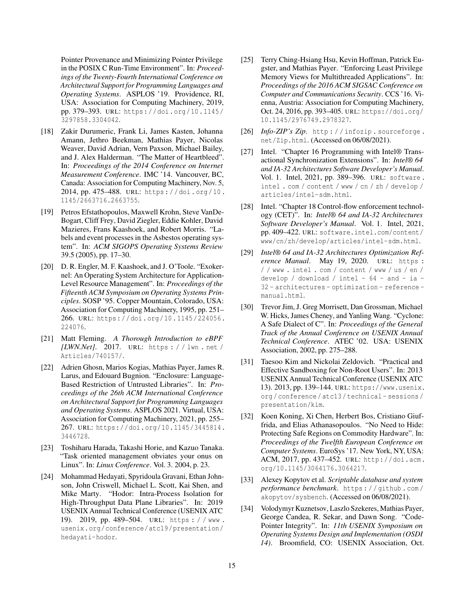Pointer Provenance and Minimizing Pointer Privilege in the POSIX C Run-Time Environment". In: *Proceedings of the Twenty-Fourth International Conference on Architectural Support for Programming Languages and Operating Systems*. ASPLOS '19. Providence, RI, USA: Association for Computing Machinery, 2019, pp. 379–393. URL: https://doi.org/10.1145/ 3297858.3304042.

- [18] Zakir Durumeric, Frank Li, James Kasten, Johanna Amann, Jethro Beekman, Mathias Payer, Nicolas Weaver, David Adrian, Vern Paxson, Michael Bailey, and J. Alex Halderman. "The Matter of Heartbleed". In: *Proceedings of the 2014 Conference on Internet Measurement Conference*. IMC '14. Vancouver, BC, Canada: Association for Computing Machinery, Nov. 5, 2014, pp. 475–488. URL: https : / / doi . org / 10 . 1145/2663716.2663755.
- [19] Petros Efstathopoulos, Maxwell Krohn, Steve VanDe-Bogart, Cliff Frey, David Ziegler, Eddie Kohler, David Mazieres, Frans Kaashoek, and Robert Morris. "Labels and event processes in the Asbestos operating system". In: *ACM SIGOPS Operating Systems Review* 39.5 (2005), pp. 17–30.
- [20] D. R. Engler, M. F. Kaashoek, and J. O'Toole. "Exokernel: An Operating System Architecture for Application-Level Resource Management". In: *Proceedings of the Fifteenth ACM Symposium on Operating Systems Principles*. SOSP '95. Copper Mountain, Colorado, USA: Association for Computing Machinery, 1995, pp. 251– 266. URL: https://doi.org/10.1145/224056. 224076.
- [21] Matt Fleming. *A Thorough Introduction to eBPF [LWN.Net]*. 2017. URL: https : / / lwn . net / Articles/740157/.
- [22] Adrien Ghosn, Marios Kogias, Mathias Payer, James R. Larus, and Edouard Bugnion. "Enclosure: Language-Based Restriction of Untrusted Libraries". In: *Proceedings of the 26th ACM International Conference on Architectural Support for Programming Languages and Operating Systems*. ASPLOS 2021. Virtual, USA: Association for Computing Machinery, 2021, pp. 255– 267. URL: https://doi.org/10.1145/3445814. 3446728.
- [23] Toshiharu Harada, Takashi Horie, and Kazuo Tanaka. "Task oriented management obviates your onus on Linux". In: *Linux Conference*. Vol. 3. 2004, p. 23.
- [24] Mohammad Hedayati, Spyridoula Gravani, Ethan Johnson, John Criswell, Michael L. Scott, Kai Shen, and Mike Marty. "Hodor: Intra-Process Isolation for High-Throughput Data Plane Libraries". In: 2019 USENIX Annual Technical Conference (USENIX ATC 19). 2019, pp. 489–504. URL: https : / / www . usenix.org/conference/atc19/presentation/ hedayati-hodor.
- [25] Terry Ching-Hsiang Hsu, Kevin Hoffman, Patrick Eugster, and Mathias Payer. "Enforcing Least Privilege Memory Views for Multithreaded Applications". In: *Proceedings of the 2016 ACM SIGSAC Conference on Computer and Communications Security*. CCS '16. Vienna, Austria: Association for Computing Machinery, Oct. 24, 2016, pp. 393–405. URL: https://doi.org/ 10.1145/2976749.2978327.
- [26] *Info-ZIP's Zip*. http : / / infozip . sourceforge . net/Zip.html. (Accessed on 06/08/2021).
- [27] Intel. "Chapter 16 Programming with Intel® Transactional Synchronization Extensions". In: *Intel® 64 and IA-32 Architectures Software Developer's Manual*. Vol. 1. Intel, 2021, pp. 389–396. URL: software . intel . com / content / www / cn / zh / develop / articles/intel-sdm.html.
- [28] Intel. "Chapter 18 Control-flow enforcement technology (CET)". In: *Intel® 64 and IA-32 Architectures Software Developer's Manual*. Vol. 1. Intel, 2021, pp. 409–422. URL: software.intel.com/content/ www/cn/zh/develop/articles/intel-sdm.html.
- [29] *Intel® 64 and IA-32 Architectures Optimization Reference Manual*. May 19, 2020. URL: https : / / www . intel . com / content / www / us / en / develop / download / intel -  $64$  - and - ia -32 - architectures - optimization - reference manual.html.
- [30] Trevor Jim, J. Greg Morrisett, Dan Grossman, Michael W. Hicks, James Cheney, and Yanling Wang. "Cyclone: A Safe Dialect of C". In: *Proceedings of the General Track of the Annual Conference on USENIX Annual Technical Conference*. ATEC '02. USA: USENIX Association, 2002, pp. 275–288.
- [31] Taesoo Kim and Nickolai Zeldovich. "Practical and Effective Sandboxing for Non-Root Users". In: 2013 USENIX Annual Technical Conference (USENIX ATC 13). 2013, pp. 139–144. URL: https://www.usenix. org / conference / atc13 / technical - sessions / presentation/kim.
- [32] Koen Koning, Xi Chen, Herbert Bos, Cristiano Giuffrida, and Elias Athanasopoulos. "No Need to Hide: Protecting Safe Regions on Commodity Hardware". In: *Proceedings of the Twelfth European Conference on Computer Systems*. EuroSys '17. New York, NY, USA: ACM, 2017, pp. 437–452. URL: http://doi.acm. org/10.1145/3064176.3064217.
- [33] Alexey Kopytov et al. *Scriptable database and system performance benchmark*. https : / / github . com / akopytov/sysbench. (Accessed on 06/08/2021).
- [34] Volodymyr Kuznetsov, Laszlo Szekeres, Mathias Payer, George Candea, R. Sekar, and Dawn Song. "Code-Pointer Integrity". In: *11th USENIX Symposium on Operating Systems Design and Implementation (OSDI 14)*. Broomfield, CO: USENIX Association, Oct.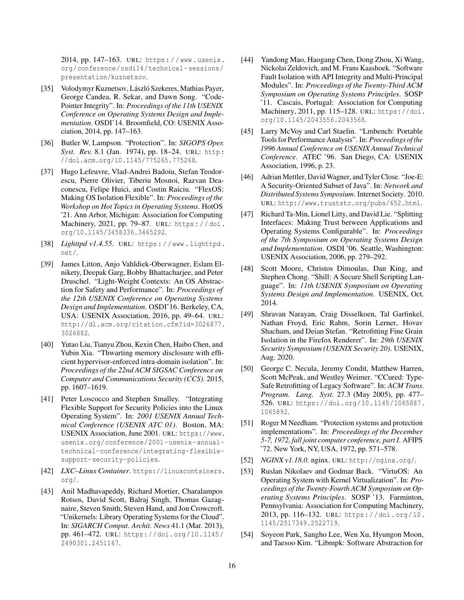2014, pp. 147–163. URL: https : / / www . usenix . org/conference/osdi14/technical- sessions/ presentation/kuznetsov.

- [35] Volodymyr Kuznetsov, László Szekeres, Mathias Payer, George Candea, R. Sekar, and Dawn Song. "Code-Pointer Integrity". In: *Proceedings of the 11th USENIX Conference on Operating Systems Design and Implementation*. OSDI'14. Broomfield, CO: USENIX Association, 2014, pp. 147–163.
- [36] Butler W. Lampson. "Protection". In: *SIGOPS Oper. Syst. Rev.* 8.1 (Jan. 1974), pp. 18–24. URL: http : //doi.acm.org/10.1145/775265.775268.
- [37] Hugo Lefeuvre, Vlad-Andrei Badoiu, Stefan Teodorescu, Pierre Olivier, Tiberiu Mosnoi, Razvan Deaconescu, Felipe Huici, and Costin Raiciu. "FlexOS: Making OS Isolation Flexible". In: *Proceedings of the Workshop on Hot Topics in Operating Systems*. HotOS '21. Ann Arbor, Michigan: Association for Computing Machinery, 2021, pp. 79-87. URL: https://doi. org/10.1145/3458336.3465292.
- [38] *Lighttpd v1.4.55*. URL: https : / / www . lighttpd . net/.
- [39] James Litton, Anjo Vahldiek-Oberwagner, Eslam Elnikety, Deepak Garg, Bobby Bhattacharjee, and Peter Druschel. "Light-Weight Contexts: An OS Abstraction for Safety and Performance". In: *Proceedings of the 12th USENIX Conference on Operating Systems Design and Implementation*. OSDI'16. Berkeley, CA, USA: USENIX Association, 2016, pp. 49–64. URL: http://dl.acm.org/citation.cfm?id=3026877. 3026882.
- [40] Yutao Liu, Tianyu Zhou, Kexin Chen, Haibo Chen, and Yubin Xia. "Thwarting memory disclosure with efficient hypervisor-enforced intra-domain isolation". In: *Proceedings of the 22nd ACM SIGSAC Conference on Computer and Communications Security (CCS)*. 2015, pp. 1607–1619.
- [41] Peter Loscocco and Stephen Smalley. "Integrating Flexible Support for Security Policies into the Linux Operating System". In: *2001 USENIX Annual Technical Conference (USENIX ATC 01)*. Boston, MA: USENIX Association, June 2001. URL: https://www. usenix.org/conference/2001- usenix- annualtechnical-conference/integrating-flexiblesupport-security-policies.
- [42] *LXC–Linux Container*. https://linuxcontainers. org/.
- [43] Anil Madhavapeddy, Richard Mortier, Charalampos Rotsos, David Scott, Balraj Singh, Thomas Gazagnaire, Steven Smith, Steven Hand, and Jon Crowcroft. "Unikernels: Library Operating Systems for the Cloud". In: *SIGARCH Comput. Archit. News* 41.1 (Mar. 2013), pp. 461–472. URL: https://doi.org/10.1145/ 2490301.2451167.
- [44] Yandong Mao, Haogang Chen, Dong Zhou, Xi Wang, Nickolai Zeldovich, and M. Frans Kaashoek. "Software Fault Isolation with API Integrity and Multi-Principal Modules". In: *Proceedings of the Twenty-Third ACM Symposium on Operating Systems Principles*. SOSP '11. Cascais, Portugal: Association for Computing Machinery, 2011, pp. 115–128. URL: https://doi. org/10.1145/2043556.2043568.
- [45] Larry McVoy and Carl Staelin. "Lmbench: Portable Tools for Performance Analysis". In: *Proceedings ofthe 1996 Annual Conference on USENIX Annual Technical Conference*. ATEC '96. San Diego, CA: USENIX Association, 1996, p. 23.
- [46] Adrian Mettler, David Wagner, and Tyler Close. "Joe-E: A Security-Oriented Subset of Java". In: *Network and Distributed Systems Symposium*. Internet Society. 2010. URL: http://www.truststc.org/pubs/652.html.
- [47] Richard Ta-Min, Lionel Litty, and David Lie. "Splitting Interfaces: Making Trust between Applications and Operating Systems Configurable". In: *Proceedings of the 7th Symposium on Operating Systems Design and Implementation*. OSDI '06. Seattle, Washington: USENIX Association, 2006, pp. 279–292.
- [48] Scott Moore, Christos Dimoulas, Dan King, and Stephen Chong. "Shill: A Secure Shell Scripting Language". In: *11th USENIX Symposium on Operating Systems Design and Implementation*. USENIX, Oct. 2014.
- [49] Shravan Narayan, Craig Disselkoen, Tal Garfinkel, Nathan Froyd, Eric Rahm, Sorin Lerner, Hovav Shacham, and Deian Stefan. "Retrofitting Fine Grain Isolation in the Firefox Renderer". In: *29th USENIX Security Symposium (USENIX Security 20)*. USENIX, Aug. 2020.
- [50] George C. Necula, Jeremy Condit, Matthew Harren, Scott McPeak, and Westley Weimer. "CCured: Type-Safe Retrofitting of Legacy Software". In: *ACM Trans. Program. Lang. Syst.* 27.3 (May 2005), pp. 477– 526. URL: https://doi.org/10.1145/1065887. 1065892.
- [51] Roger M Needham. "Protection systems and protection implementations". In: *Proceedings of the December 5-7, 1972, fall joint computer conference, part I*. AFIPS '72. New York, NY, USA, 1972, pp. 571–578.
- [52] *NGINX v1.18.0*. nginx. URL: http://nginx.org/.
- [53] Ruslan Nikolaev and Godmar Back. "VirtuOS: An Operating System with Kernel Virtualization". In: *Proceedings of the Twenty-Fourth ACM Symposium on Operating Systems Principles*. SOSP '13. Farminton, Pennsylvania: Association for Computing Machinery, 2013, pp. 116–132. URL: https : / / doi . org / 10 . 1145/2517349.2522719.
- [54] Soyeon Park, Sangho Lee, Wen Xu, Hyungon Moon, and Taesoo Kim. "Libmpk: Software Abstraction for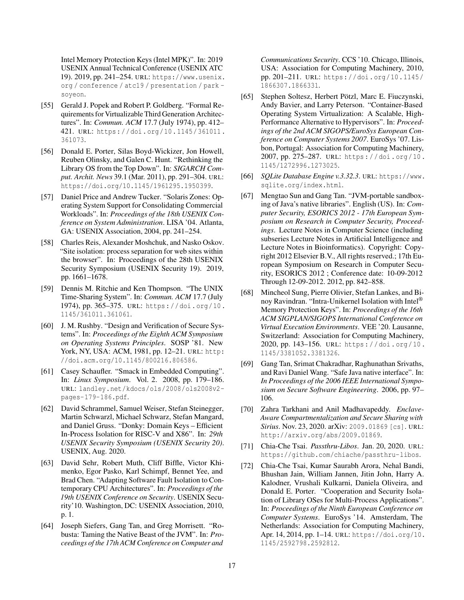Intel Memory Protection Keys (Intel MPK)". In: 2019 USENIX Annual Technical Conference (USENIX ATC 19). 2019, pp. 241–254. URL: https://www.usenix. org / conference / atc19 / presentation / park soyeon.

- [55] Gerald J. Popek and Robert P. Goldberg. "Formal Requirements for Virtualizable Third Generation Architectures". In: *Commun. ACM* 17.7 (July 1974), pp. 412– 421. URL: https://doi.org/10.1145/361011. 361073.
- [56] Donald E. Porter, Silas Boyd-Wickizer, Jon Howell, Reuben Olinsky, and Galen C. Hunt. "Rethinking the Library OS from the Top Down". In: *SIGARCH Comput. Archit. News* 39.1 (Mar. 2011), pp. 291–304. URL: https://doi.org/10.1145/1961295.1950399.
- [57] Daniel Price and Andrew Tucker. "Solaris Zones: Operating System Support for Consolidating Commercial Workloads". In: *Proceedings of the 18th USENIX Conference on System Administration*. LISA '04. Atlanta, GA: USENIX Association, 2004, pp. 241–254.
- [58] Charles Reis, Alexander Moshchuk, and Nasko Oskov. "Site isolation: process separation for web sites within the browser". In: Proceedings of the 28th USENIX Security Symposium (USENIX Security 19). 2019, pp. 1661–1678.
- [59] Dennis M. Ritchie and Ken Thompson. "The UNIX Time-Sharing System". In: *Commun. ACM* 17.7 (July 1974), pp. 365–375. URL: https://doi.org/10. 1145/361011.361061.
- [60] J. M. Rushby. "Design and Verification of Secure Systems". In: *Proceedings of the Eighth ACM Symposium on Operating Systems Principles*. SOSP '81. New York, NY, USA: ACM, 1981, pp. 12–21. URL: http: //doi.acm.org/10.1145/800216.806586.
- [61] Casey Schaufler. "Smack in Embedded Computing". In: *Linux Symposium*. Vol. 2. 2008, pp. 179–186. URL: landley.net/kdocs/ols/2008/ols2008v2 pages-179-186.pdf.
- [62] David Schrammel, Samuel Weiser, Stefan Steinegger, Martin Schwarzl, Michael Schwarz, Stefan Mangard, and Daniel Gruss. "Donky: Domain Keys – Efficient In-Process Isolation for RISC-V and X86". In: *29th USENIX Security Symposium (USENIX Security 20)*. USENIX, Aug. 2020.
- [63] David Sehr, Robert Muth, Cliff Biffle, Victor Khimenko, Egor Pasko, Karl Schimpf, Bennet Yee, and Brad Chen. "Adapting Software Fault Isolation to Contemporary CPU Architectures". In: *Proceedings of the 19th USENIX Conference on Security*. USENIX Security'10. Washington, DC: USENIX Association, 2010, p. 1.
- [64] Joseph Siefers, Gang Tan, and Greg Morrisett. "Robusta: Taming the Native Beast of the JVM". In: *Proceedings of the 17th ACM Conference on Computer and*

*Communications Security*. CCS '10. Chicago, Illinois, USA: Association for Computing Machinery, 2010, pp. 201–211. URL: https://doi.org/10.1145/ 1866307.1866331.

- [65] Stephen Soltesz, Herbert Pötzl, Marc E. Fiuczynski, Andy Bavier, and Larry Peterson. "Container-Based Operating System Virtualization: A Scalable, High-Performance Alternative to Hypervisors". In: *Proceedings of the 2nd ACM SIGOPS/EuroSys European Conference on Computer Systems 2007*. EuroSys '07. Lisbon, Portugal: Association for Computing Machinery, 2007, pp. 275–287. URL: https : / / doi . org / 10 . 1145/1272996.1273025.
- [66] *SQLite Database Engine v.3.32.3*. URL: https://www. sqlite.org/index.html.
- [67] Mengtao Sun and Gang Tan. "JVM-portable sandboxing of Java's native libraries". English (US). In: *Computer Security, ESORICS 2012 - 17th European Symposium on Research in Computer Security, Proceedings*. Lecture Notes in Computer Science (including subseries Lecture Notes in Artificial Intelligence and Lecture Notes in Bioinformatics). Copyright: Copyright 2012 Elsevier B.V., All rights reserved.; 17th European Symposium on Research in Computer Security, ESORICS 2012 ; Conference date: 10-09-2012 Through 12-09-2012. 2012, pp. 842–858.
- [68] Mincheol Sung, Pierre Olivier, Stefan Lankes, and Binoy Ravindran. "Intra-Unikernel Isolation with Intel® Memory Protection Keys". In: *Proceedings of the 16th ACM SIGPLAN/SIGOPS International Conference on Virtual Execution Environments*. VEE '20. Lausanne, Switzerland: Association for Computing Machinery, 2020, pp. 143–156. URL: https : / / doi . org / 10 . 1145/3381052.3381326.
- [69] Gang Tan, Srimat Chakradhar, Raghunathan Srivaths, and Ravi Daniel Wang. "Safe Java native interface". In: *In Proceedings of the 2006 IEEE International Symposium on Secure Software Engineering*. 2006, pp. 97– 106.
- [70] Zahra Tarkhani and Anil Madhavapeddy. *Enclave-Aware Compartmentalization and Secure Sharing with Sirius*. Nov. 23, 2020. arXiv: 2009.01869 [cs]. URL: http://arxiv.org/abs/2009.01869.
- [71] Chia-Che Tsai. *Passthru-Libos*. Jan. 20, 2020. URL: https://github.com/chiache/passthru-libos.
- [72] Chia-Che Tsai, Kumar Saurabh Arora, Nehal Bandi, Bhushan Jain, William Jannen, Jitin John, Harry A. Kalodner, Vrushali Kulkarni, Daniela Oliveira, and Donald E. Porter. "Cooperation and Security Isolation of Library OSes for Multi-Process Applications". In: *Proceedings of the Ninth European Conference on Computer Systems*. EuroSys '14. Amsterdam, The Netherlands: Association for Computing Machinery, Apr. 14, 2014, pp. 1–14. URL: https://doi.org/10. 1145/2592798.2592812.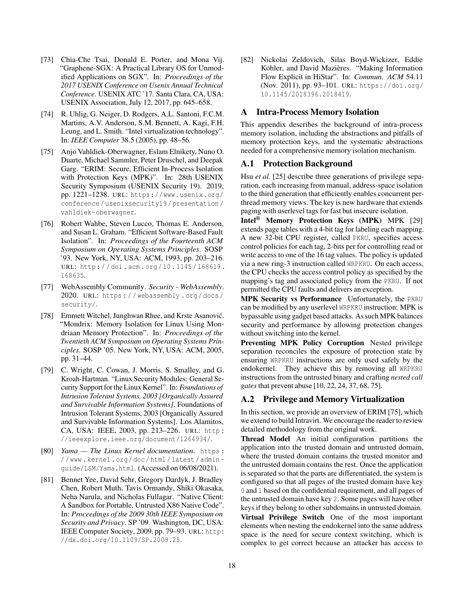- [73] Chia-Che Tsai, Donald E. Porter, and Mona Vij. "Graphene-SGX: A Practical Library OS for Unmodified Applications on SGX". In: *Proceedings of the 2017 USENIX Conference on Usenix Annual Technical Conference*. USENIX ATC '17. Santa Clara, CA, USA: USENIX Association, July 12, 2017, pp. 645–658.
- [74] R. Uhlig, G. Neiger, D. Rodgers, A.L. Santoni, F.C.M. Martins, A.V. Anderson, S.M. Bennett, A. Kagi, F.H. Leung, and L. Smith. "Intel virtualization technology". In: *IEEE Computer* 38.5 (2005), pp. 48–56.
- [75] Anjo Vahldiek-Oberwagner, Eslam Elnikety, Nuno O. Duarte, Michael Sammler, Peter Druschel, and Deepak Garg. "ERIM: Secure, Efficient In-Process Isolation with Protection Keys (MPK)". In: 28th USENIX Security Symposium (USENIX Security 19). 2019, pp. 1221–1238. URL: https://www.usenix.org/ conference / usenixsecurity19 / presentation / vahldiek-oberwagner.
- [76] Robert Wahbe, Steven Lucco, Thomas E. Anderson, and Susan L. Graham. "Efficient Software-Based Fault Isolation". In: *Proceedings of the Fourteenth ACM Symposium on Operating Systems Principles*. SOSP '93. New York, NY, USA: ACM, 1993, pp. 203–216. URL: http : / / doi . acm . org / 10 . 1145 / 168619 . 168635.
- [77] WebAssembly Community. *Security WebAssembly*. 2020. URL: https : / / webassembly . org / docs / security/.
- [78] Emmett Witchel, Junghwan Rhee, and Krste Asanović. "Mondrix: Memory Isolation for Linux Using Mondriaan Memory Protection". In: *Proceedings of the Twentieth ACM Symposium on Operating Systems Principles*. SOSP '05. New York, NY, USA: ACM, 2005, pp. 31–44.
- [79] C. Wright, C. Cowan, J. Morris, S. Smalley, and G. Kroah-Hartman. "Linux Security Modules: General Security Support for the Linux Kernel". In: *Foundations of Intrusion Tolerant Systems, 2003 [Organically Assured and Survivable Information Systems]*. Foundations of Intrusion Tolerant Systems, 2003 [Organically Assured and Survivable Information Systems]. Los Alamitos, CA, USA: IEEE, 2003, pp. 213–226. URL: http : //ieeexplore.ieee.org/document/1264934/.
- [80] *Yama The Linux Kernel documentation*. https : / / www . kernel . org / doc / html / latest / admin guide/LSM/Yama.html. (Accessed on 06/08/2021).
- [81] Bennet Yee, David Sehr, Gregory Dardyk, J. Bradley Chen, Robert Muth, Tavis Ormandy, Shiki Okasaka, Neha Narula, and Nicholas Fullagar. "Native Client: A Sandbox for Portable, Untrusted X86 Native Code". In: *Proceedings of the 2009 30th IEEE Symposium on Security and Privacy*. SP '09. Washington, DC, USA: IEEE Computer Society, 2009, pp. 79–93. URL: http: //dx.doi.org/10.1109/SP.2009.25.

[82] Nickolai Zeldovich, Silas Boyd-Wickizer, Eddie Kohler, and David Mazières. "Making Information Flow Explicit in HiStar". In: *Commun. ACM* 54.11 (Nov. 2011), pp. 93–101. URL: https://doi.org/ 10.1145/2018396.2018419.

### A Intra-Process Memory Isolation

This appendix describes the background of intra-process memory isolation, including the abstractions and pitfalls of memory protection keys, and the systematic abstractions needed for a comprehensive memory isolation mechanism.

### A.1 Protection Background

Hsu *et al.* [25] describe three generations of privilege separation, each increasing from manual, address-space isolation to the third generation that efficiently enables concurrent perthread memory views. The key is new hardware that extends paging with userlevel tags for fast but insecure isolation.

Intel® Memory Protection Keys (MPK) MPK [29] extends page tables with a 4-bit tag for labeling each mapping. A new 32-bit CPU register, called PKRU, specifies access control policies for each tag, 2-bits per for controlling read or write access to one of the 16 tag values. The policy is updated via a new ring-3 instruction called WRPKRU. On each access, the CPU checks the access control policy as specified by the mapping's tag and associated policy from the PKRU. If not permitted the CPU faults and delivers an exception.

MPK Security vs Performance Unfortunately, the PKRU can be modified by any userlevel WRPKRU instruction: MPK is bypassable using gadget based attacks. As such MPK balances security and performance by allowing protection changes without switching into the kernel.

Preventing MPK Policy Corruption Nested privilege separation reconciles the exposure of protection state by ensuring WRPKRU instructions are only used safely by the endokernel. They achieve this by removing all WRPKRU instructions from the untrusted binary and crafting *nested call gates* that prevent abuse [10, 22, 24, 37, 68, 75].

### A.2 Privilege and Memory Virtualization

In this section, we provide an overview of ERIM [75], which we extend to build Intravirt. We encourage the reader to review detailed methodology from the original work.

Thread Model An initial configuration partitions the application into the trusted domain and untrusted domain, where the trusted domain contains the trusted monitor and the untrusted domain contains the rest. Once the application is separated so that the parts are differentiated, the system is configured so that all pages of the trusted domain have key 0 and 1 based on the confidential requirement, and all pages of the untrusted domain have key 2. Some pages will have other keys if they belong to other subdomains in untrusted domain.

Virtual Privilege Switch One of the most important elements when nesting the endokernel into the same address space is the need for secure context switching, which is complex to get correct because an attacker has access to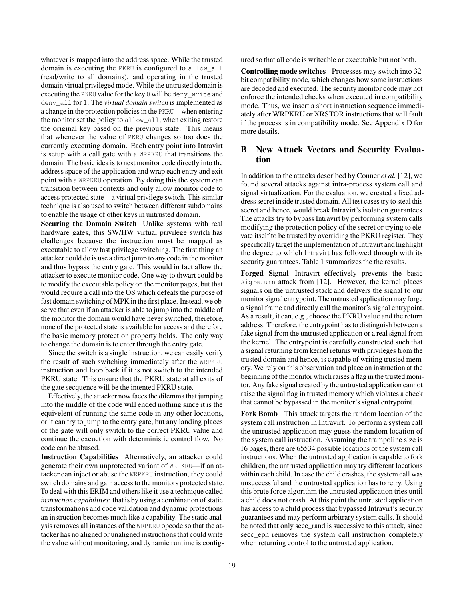whatever is mapped into the address space. While the trusted domain is executing the PKRU is configured to allow\_all (read/write to all domains), and operating in the trusted domain virtual privileged mode. While the untrusted domain is executing the PKRU value for the key 0 will be deny write and deny\_all for 1. The *virtual domain switch* is implemented as a change in the protection policies in the PKRU—when entering the monitor set the policy to allow all, when exiting restore the original key based on the previous state. This means that whenever the value of PKRU changes so too does the currently executing domain. Each entry point into Intravirt is setup with a call gate with a WRPKRU that transitions the domain. The basic idea is to nest monitor code directly into the address space of the application and wrap each entry and exit point with a WRPKRU operation. By doing this the system can transition between contexts and only allow monitor code to access protected state—a virtual privilege switch. This similar technique is also used to switch between different subdomains to enable the usage of other keys in untrusted domain.

Securing the Domain Switch Unlike systems with real hardware gates, this SW/HW virtual privilege switch has challenges because the instruction must be mapped as executable to allow fast privilege switching. The first thing an attacker could do is use a direct jump to any code in the monitor and thus bypass the entry gate. This would in fact allow the attacker to execute monitor code. One way to thwart could be to modify the executable policy on the monitor pages, but that would require a call into the OS which defeats the purpose of fast domain switching of MPK in the first place. Instead, we observe that even if an attacker is able to jump into the middle of the monitor the domain would have never switched, therefore, none of the protected state is available for access and therefore the basic memory protection property holds. The only way to change the domain is to enter through the entry gate.

Since the switch is a single instruction, we can easily verify the result of such switching immediately after the WRPKRU instruction and loop back if it is not switch to the intended PKRU state. This ensure that the PKRU state at all exits of the gate secquence will be the intented PKRU state.

Effectively, the attacker now faces the dilemma that jumping into the middle of the code will ended nothing since it is the equivelent of running the same code in any other locations, or it can try to jump to the entry gate, but any landing places of the gate will only switch to the correct PKRU value and continue the exeuction with deterministic control flow. No code can be abused.

Instruction Capabilities Alternatively, an attacker could generate their own unprotected variant of WRPKRU—if an attacker can inject or abuse the WRPKRU instruction, they could switch domains and gain access to the monitors protected state. To deal with this ERIM and others like it use a technique called *instruction capabilities*: that is by using a combination of static transformations and code validation and dynamic protections an instruction becomes much like a capability. The static analysis removes all instances of the WRPKRU opcode so that the attacker has no aligned or unaligned instructions that could write the value without monitoring, and dynamic runtime is configured so that all code is writeable or executable but not both.

Controlling mode switches Processes may switch into 32 bit compatibility mode, which changes how some instructions are decoded and executed. The security monitor code may not enforce the intended checks when executed in compatibility mode. Thus, we insert a short instruction sequence immediately after WRPKRU or XRSTOR instructions that will fault if the process is in compatibility mode. See Appendix D for more details.

### B New Attack Vectors and Security Evaluation

In addition to the attacks described by Conner *et al.* [12], we found several attacks against intra-process system call and signal virtualization. For the evaluation, we created a fixed address secret inside trusted domain. All test cases try to steal this secret and hence, would break Intravirt's isolation guarantees. The attacks try to bypass Intravirt by performing system calls modifying the protection policy of the secret or trying to elevate itself to be trusted by overriding the PKRU register. They specifically target the implementation of Intravirt and highlight the degree to which Intravirt has followed through with its security guarantees. Table 1 summarizes the the results.

Forged Signal Intravirt effectively prevents the basic sigreturn attack from [12]. However, the kernel places signals on the untrusted stack and delivers the signal to our monitor signal entrypoint. The untrusted application may forge a signal frame and directly call the monitor's signal entrypoint. As a result, it can, e.g., choose the PKRU value and the return address. Therefore, the entrypoint has to distinguish between a fake signal from the untrusted application or a real signal from the kernel. The entrypoint is carefully constructed such that a signal returning from kernel returns with privileges from the trusted domain and hence, is capable of writing trusted memory. We rely on this observation and place an instruction at the beginning of the monitor which raises a flag in the trusted monitor. Any fake signal created by the untrusted application cannot raise the signal flag in trusted memory which violates a check that cannot be bypassed in the monitor's signal entrypoint.

Fork Bomb This attack targets the random location of the system call instruction in Intravirt. To perform a system call the untrusted application may guess the random location of the system call instruction. Assuming the trampoline size is 16 pages, there are 65534 possible locations of the system call instructions. When the untrusted application is capable to fork children, the untrusted application may try different locations within each child. In case the child crashes, the system call was unsuccessful and the untrusted application has to retry. Using this brute force algorithm the untrusted application tries until a child does not crash. At this point the untrusted application has access to a child process that bypassed Intravirt's security guarantees and may perform arbitrary system calls. It should be noted that only secc\_rand is successive to this attack, since secc\_eph removes the system call instruction completely when returning control to the untrusted application.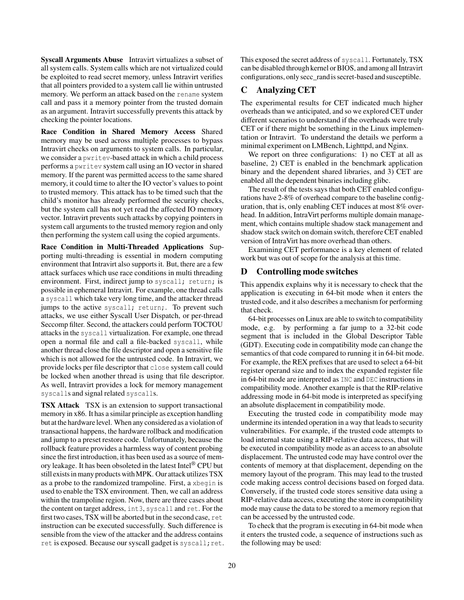Syscall Arguments Abuse Intravirt virtualizes a subset of all system calls. System calls which are not virtualized could be exploited to read secret memory, unless Intravirt verifies that all pointers provided to a system call lie within untrusted memory. We perform an attack based on the rename system call and pass it a memory pointer from the trusted domain as an argument. Intravirt successfully prevents this attack by checking the pointer locations.

Race Condition in Shared Memory Access Shared memory may be used across multiple processes to bypass Intravirt checks on arguments to system calls. In particular, we consider a pwritev-based attack in which a child process performs a pwritev system call using an IO vector in shared memory. If the parent was permitted access to the same shared memory, it could time to alter the IO vector's values to point to trusted memory. This attack has to be timed such that the child's monitor has already performed the security checks, but the system call has not yet read the affected IO memory vector. Intravirt prevents such attacks by copying pointers in system call arguments to the trusted memory region and only then performing the system call using the copied arguments.

Race Condition in Multi-Threaded Applications Supporting multi-threading is essential in modern computing environment that Intravirt also supports it. But, there are a few attack surfaces which use race conditions in multi threading environment. First, indirect jump to syscall; return; is possible in ephemeral Intravirt. For example, one thread calls a syscall which take very long time, and the attacker thread jumps to the active syscall; return;. To prevent such attacks, we use either Syscall User Dispatch, or per-thread Seccomp filter. Second, the attackers could perform TOCTOU attacks in the syscall virtualization. For example, one thread open a normal file and call a file-backed syscall, while another thread close the file descriptor and open a sensitive file which is not allowed for the untrusted code. In Intravirt, we provide locks per file descriptor that close system call could be locked when another thread is using that file descriptor. As well, Intravirt provides a lock for memory management syscalls and signal related syscalls.

**TSX Attack** TSX is an extension to support transactional memory in x86. It has a similar principle as exception handling but at the hardware level. When any considered as a violation of transactional happens, the hardware rollback and modification and jump to a preset restore code. Unfortunately, because the rollback feature provides a harmless way of content probing since the first introduction, it has been used as a source of memory leakage. It has been obsoleted in the latest Intel® CPU but still exists in many products withMPK. Our attack utilizes TSX as a probe to the randomized trampoline. First, a xbegin is used to enable the TSX environment. Then, we call an address within the trampoline region. Now, there are three cases about the content on target address, int3, syscall and ret. For the first two cases, TSX will be aborted but in the second case, ret instruction can be executed successfully. Such difference is sensible from the view of the attacker and the address contains ret is exposed. Because our syscall gadget is syscall; ret. This exposed the secret address of syscall. Fortunately, TSX can be disabled through kernel or BIOS, and among all Intravirt configurations, only secc\_randis secret-based and susceptible.

## C Analyzing CET

The experimental results for CET indicated much higher overheads than we anticipated, and so we explored CET under different scenarios to understand if the overheads were truly CET or if there might be something in the Linux implementation or Intravirt. To understand the details we perform a minimal experiment on LMBench, Lighttpd, and Nginx.

We report on three configurations: 1) no CET at all as baseline, 2) CET is enabled in the benchmark application binary and the dependent shared libraries, and 3) CET are enabled all the dependent binaries including glibc.

The result of the tests says that both CET enabled configurations have 2-8% of overhead compare to the baseline configuration, that is, only enabling CET induces at most 8% overhead. In addition, IntraVirt performs multiple domain management, which contains multiple shadow stack management and shadow stack switch on domain switch, therefore CET enabled version of IntraVirt has more overhead than others.

Examining CET performance is a key element of related work but was out of scope for the analysis at this time.

### D Controlling mode switches

This appendix explains why it is necessary to check that the application is executing in 64-bit mode when it enters the trusted code, and it also describes a mechanism for performing that check.

64-bit processes on Linux are able to switch to compatibility mode, e.g. by performing a far jump to a 32-bit code segment that is included in the Global Descriptor Table (GDT). Executing code in compatibility mode can change the semantics of that code compared to running it in 64-bit mode. For example, the REX prefixes that are used to select a 64-bit register operand size and to index the expanded register file in 64-bit mode are interpreted as INC and DEC instructions in compatibility mode. Another example is that the RIP-relative addressing mode in 64-bit mode is interpreted as specifying an absolute displacement in compatibility mode.

Executing the trusted code in compatibility mode may undermine its intended operation in a way that leads to security vulnerabilities. For example, if the trusted code attempts to load internal state using a RIP-relative data access, that will be executed in compatibility mode as an access to an absolute displacement. The untrusted code may have control over the contents of memory at that displacement, depending on the memory layout of the program. This may lead to the trusted code making access control decisions based on forged data. Conversely, if the trusted code stores sensitive data using a RIP-relative data access, executing the store in compatibility mode may cause the data to be stored to a memory region that can be accessed by the untrusted code.

To check that the program is executing in 64-bit mode when it enters the trusted code, a sequence of instructions such as the following may be used: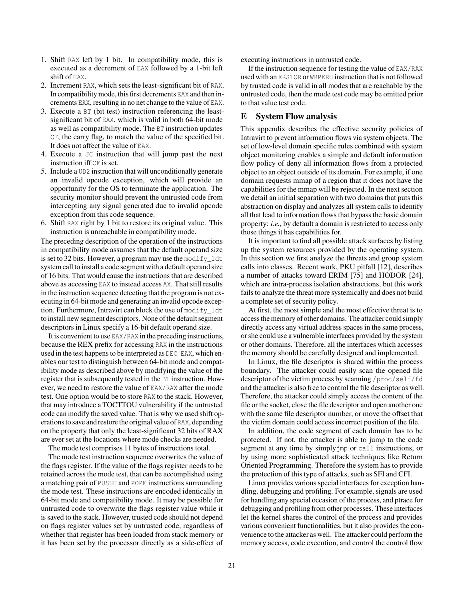- 1. Shift RAX left by 1 bit. In compatibility mode, this is executed as a decrement of EAX followed by a 1-bit left shift of EAX.
- 2. Increment RAX, which sets the least-significant bit of RAX. In compatibility mode, this first decrements EAX and then increments EAX, resulting in no net change to the value of EAX.
- 3. Execute a BT (bit test) instruction referencing the leastsignificant bit of EAX, which is valid in both 64-bit mode as well as compatibility mode. The BT instruction updates CF, the carry flag, to match the value of the specified bit. It does not affect the value of EAX.
- 4. Execute a JC instruction that will jump past the next instruction iff CF is set.
- 5. Include a UD2 instruction that will unconditionally generate an invalid opcode exception, which will provide an opportunity for the OS to terminate the application. The security monitor should prevent the untrusted code from intercepting any signal generated due to invalid opcode exception from this code sequence.
- 6. Shift RAX right by 1 bit to restore its original value. This instruction is unreachable in compatibility mode.

The preceding description of the operation of the instructions in compatibility mode assumes that the default operand size is set to 32 bits. However, a program may use the modify\_ldt system call to install a code segment with a default operand size of 16 bits. That would cause the instructions that are described above as accessing EAX to instead access AX. That still results in the instruction sequence detecting that the program is not executing in 64-bit mode and generating an invalid opcode exception. Furthermore, Intravirt can block the use of modify ldt to install new segment descriptors. None of the default segment descriptors in Linux specify a 16-bit default operand size.

It is convenient to use EAX/RAX in the preceding instructions, because the REX prefix for accessing RAX in the instructions used in the test happens to be interpreted as DEC EAX, which enables our test to distinguish between 64-bit mode and compatibility mode as described above by modifying the value of the register that is subsequently tested in the BT instruction. However, we need to restore the value of EAX/RAX after the mode test. One option would be to store RAX to the stack. However, that may introduce a TOCTTOU vulnerability if the untrusted code can modify the saved value. That is why we used shift operations to save and restore the original value of RAX, depending on the property that only the least-significant 32 bits of RAX are ever set at the locations where mode checks are needed.

The mode test comprises 11 bytes of instructions total.

The mode test instruction sequence overwrites the value of the flags register. If the value of the flags register needs to be retained across the mode test, that can be accomplished using a matching pair of PUSHF and POPF instructions surrounding the mode test. These instructions are encoded identically in 64-bit mode and compatibility mode. It may be possible for untrusted code to overwrite the flags register value while it is saved to the stack. However, trusted code should not depend on flags register values set by untrusted code, regardless of whether that register has been loaded from stack memory or it has been set by the processor directly as a side-effect of executing instructions in untrusted code.

If the instruction sequence for testing the value of EAX/RAX used with an XRSTOR or WRPKRU instruction that is not followed by trusted code is valid in all modes that are reachable by the untrusted code, then the mode test code may be omitted prior to that value test code.

### E System Flow analysis

This appendix describes the effective security policies of Intravirt to prevent information flows via system objects. The set of low-level domain specific rules combined with system object monitoring enables a simple and default information flow policy of deny all information flows from a protected object to an object outside of its domain. For example, if one domain requests mmap of a region that it does not have the capabilities for the mmap will be rejected. In the next section we detail an initial separation with two domains that puts this abstraction on display and analyzes all system calls to identify all that lead to information flows that bypass the basic domain property: *i.e.,* by default a domain is restricted to access only those things it has capabilities for.

It is important to find all possible attack surfaces by listing up the system resources provided by the operating system. In this section we first analyze the threats and group system calls into classes. Recent work, PKU pitfall [12], describes a number of attacks toward ERIM [75] and HODOR [24], which are intra-process isolation abstractions, but this work fails to analyze the threat more systemically and does not build a complete set of security policy.

At first, the most simple and the most effective threat is to access the memory of other domains. The attacker could simply directly access any virtual address spaces in the same process, or she could use a vulnerable interfaces provided by the system or other domains. Therefore, all the interfaces which accesses the memory should be carefully designed and implemented.

In Linux, the file descriptor is shared within the process boundary. The attacker could easily scan the opened file descriptor of the victim process by scanning /proc/self/fd and the attacker is also free to control the file descriptor as well. Therefore, the attacker could simply access the content of the file or the socket, close the file descriptor and open another one with the same file descriptor number, or move the offset that the victim domain could access incorrect position of the file.

In addition, the code segment of each domain has to be protected. If not, the attacker is able to jump to the code segment at any time by simplyjmp or call instructions, or by using more sophisticated attack techniques like Return Oriented Programming. Therefore the system has to provide the protection of this type of attacks, such as SFI and CFI.

Linux provides various special interfaces for exception handling, debugging and profiling. For example, signals are used for handling any special occasion of the process, and ptrace for debugging and profiling from other processes. These interfaces let the kernel shares the control of the process and provides various convenient functionalities, but it also provides the convenience to the attacker as well. The attacker could perform the memory access, code execution, and control the control flow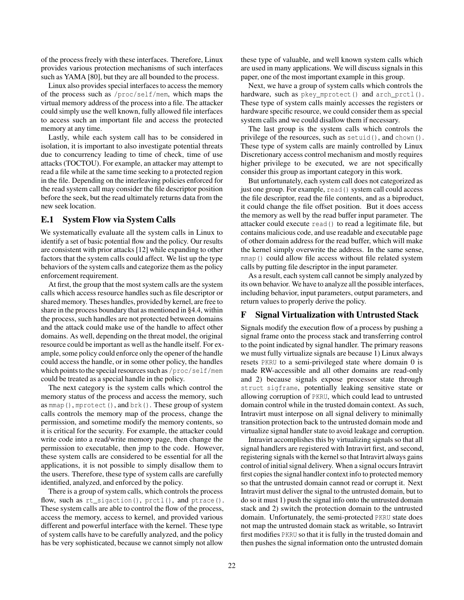of the process freely with these interfaces. Therefore, Linux provides various protection mechanisms of such interfaces such as YAMA [80], but they are all bounded to the process.

Linux also provides special interfaces to access the memory of the process such as /proc/self/mem, which maps the virtual memory address of the process into a file. The attacker could simply use the well known, fully allowed file interfaces to access such an important file and access the protected memory at any time.

Lastly, while each system call has to be considered in isolation, it is important to also investigate potential threats due to concurrency leading to time of check, time of use attacks (TOCTOU). For example, an attacker may attempt to read a file while at the same time seeking to a protected region in the file. Depending on the interleaving policies enforced for the read system call may consider the file descriptor position before the seek, but the read ultimately returns data from the new seek location.

### E.1 System Flow via System Calls

We systematically evaluate all the system calls in Linux to identify a set of basic potential flow and the policy. Our results are consistent with prior attacks [12] while expanding to other factors that the system calls could affect. We list up the type behaviors of the system calls and categorize them as the policy enforcement requirement.

At first, the group that the most system calls are the system calls which access resource handles such as file descriptor or shared memory. Theses handles, provided by kernel, are free to share in the process boundary that as mentioned in §4.4, within the process, such handles are not protected between domains and the attack could make use of the handle to affect other domains. As well, depending on the threat model, the original resource could be important as well as the handle itself. For example, some policy could enforce only the opener of the handle could access the handle, or in some other policy, the handles which points to the special resources such as /proc/self/mem could be treated as a special handle in the policy.

The next category is the system calls which control the memory status of the process and access the memory, such as mmap(), mprotect(), and brk(). These group of system calls controls the memory map of the process, change the permission, and sometime modify the memory contents, so it is critical for the security. For example, the attacker could write code into a read/write memory page, then change the permission to executable, then jmp to the code. However, these system calls are considered to be essential for all the applications, it is not possible to simply disallow them to the users. Therefore, these type of system calls are carefully identified, analyzed, and enforced by the policy.

There is a group of system calls, which controls the process flow, such as rt\_sigaction(), prctl(), and ptrace(). These system calls are able to control the flow of the process, access the memory, access to kernel, and provided various different and powerful interface with the kernel. These type of system calls have to be carefully analyzed, and the policy has be very sophisticated, because we cannot simply not allow

these type of valuable, and well known system calls which are used in many applications. We will discuss signals in this paper, one of the most important example in this group.

Next, we have a group of system calls which controls the hardware, such as pkey\_mprotect() and arch\_prctl(). These type of system calls mainly accesses the registers or hardware specific resource, we could consider them as special system calls and we could disallow them if necessary.

The last group is the system calls which controls the privilege of the resources, such as setuid(), and chown(). These type of system calls are mainly controlled by Linux Discretionary access control mechanism and mostly requires higher privilege to be executed, we are not specifically consider this group as important category in this work.

But unfortunately, each system call does not categorized as just one group. For example, read () system call could access the file descriptor, read the file contents, and as a biproduct, it could change the file offset position. But it does access the memory as well by the read buffer input parameter. The attacker could execute read() to read a legitimate file, but contains malicious code, and use readable and executable page of other domain address for the read buffer, which will make the kernel simply overwrite the address. In the same sense, mmap() could allow file access without file related system calls by putting file descriptor in the input parameter.

As a result, each system call cannot be simply analyzed by its own behavior. We have to analyze all the possible interfaces, including behavior, input parameters, output parameters, and return values to properly derive the policy.

### F Signal Virtualization with Untrusted Stack

Signals modify the execution flow of a process by pushing a signal frame onto the process stack and transferring control to the point indicated by signal handler. The primary reasons we must fully virtualize signals are because 1) Linux always resets PKRU to a semi-privileged state where domain 0 is made RW-accessible and all other domains are read-only and 2) because signals expose processor state through struct sigframe, potentially leaking sensitive state or allowing corruption of PKRU, which could lead to untrusted domain control while in the trusted domain context. As such, Intravirt must interpose on all signal delivery to minimally transition protection back to the untrusted domain mode and virtualize signal handler state to avoid leakage and corruption.

Intravirt accomplishes this by virtualizing signals so that all signal handlers are registered with Intravirt first, and second, registering signals with the kernel so that Intravirt always gains control of initial signal delivery. When a signal occurs Intravirt first copies the signal handler context info to protected memory so that the untrusted domain cannot read or corrupt it. Next Intravirt must deliver the signal to the untrusted domain, but to do so it must 1) push the signal info onto the untrusted domain stack and 2) switch the protection domain to the untrusted domain. Unfortunately, the semi-protected PKRU state does not map the untrusted domain stack as writable, so Intravirt first modifies PKRU so that it is fully in the trusted domain and then pushes the signal information onto the untrusted domain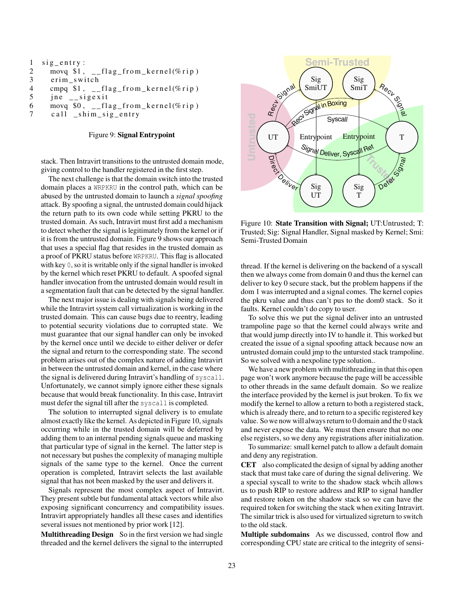```
1 sig_entry:
2 movq $1, -flag_from_kernel(%rip)
3 erim_switch
4 cmpq $1, -flag_from_kernel(\%rip)<br>5 ine sigexit
     jne \left| \right| = sigexit
6 movq 0, -1lag_from_kernel(%rip)
7 call _shim_sig_entry
```
#### Figure 9: Signal Entrypoint

stack. Then Intravirt transitions to the untrusted domain mode, giving control to the handler registered in the first step.

The next challenge is that the domain switch into the trusted domain places a WRPKRU in the control path, which can be abused by the untrusted domain to launch a *signal spoofing* attack. By spoofing a signal, the untrusted domain could hijack the return path to its own code while setting PKRU to the trusted domain. As such, Intravirt must first add a mechanism to detect whether the signal is legitimately from the kernel or if it is from the untrusted domain. Figure 9 shows our approach that uses a special flag that resides in the trusted domain as a proof of PKRU status before WRPKRU. This flag is allocated with key 0, so it is writable only if the signal handler is invoked by the kernel which reset PKRU to default. A spoofed signal handler invocation from the untrusted domain would result in a segmentation fault that can be detected by the signal handler.

The next major issue is dealing with signals being delivered while the Intravirt system call virtualization is working in the trusted domain. This can cause bugs due to reentry, leading to potential security violations due to corrupted state. We must guarantee that our signal handler can only be invoked by the kernel once until we decide to either deliver or defer the signal and return to the corresponding state. The second problem arises out of the complex nature of adding Intravirt in between the untrusted domain and kernel, in the case where the signal is delivered during Intravirt's handling of syscall. Unfortunately, we cannot simply ignore either these signals because that would break functionality. In this case, Intravirt must defer the signal till after the syscall is completed.

The solution to interrupted signal delivery is to emulate almost exactly like the kernel. As depicted in Figure 10, signals occurring while in the trusted domain will be deferred by adding them to an internal pending signals queue and masking that particular type of signal in the kernel. The latter step is not necessary but pushes the complexity of managing multiple signals of the same type to the kernel. Once the current operation is completed, Intravirt selects the last available signal that has not been masked by the user and delivers it.

Signals represent the most complex aspect of Intravirt. They present subtle but fundamental attack vectors while also exposing significant concurrency and compatibility issues. Intravirt appropriately handles all these cases and identifies several issues not mentioned by prior work [12].

Multithreading Design So in the first version we had single threaded and the kernel delivers the signal to the interrupted



Figure 10: State Transition with Signal; UT:Untrusted; T: Trusted; Sig: Signal Handler, Signal masked by Kernel; Smi: Semi-Trusted Domain

thread. If the kernel is delivering on the backend of a syscall then we always come from domain 0 and thus the kernel can deliver to key 0 secure stack, but the problem happens if the dom 1 was interrupted and a signal comes. The kernel copies the pkru value and thus can't pus to the dom0 stack. So it faults. Kernel couldn't do copy to user.

To solve this we put the signal deliver into an untrusted trampoline page so that the kernel could always write and that would jump directly into IV to handle it. This worked but created the issue of a signal spoofing attack because now an untrusted domain could jmp to the untursted stack trampoline. So we solved with a nexpoline type solution..

We have a new problem with multithreading in that this open page won't work anymore because the page will be accessible to other threads in the same default domain. So we realize the interface provided by the kernel is jsut broken. To fix we modify the kernel to allow a return to both a registered stack, which is already there, and to return to a specific registered key value. So we now will always return to 0 domain and the 0 stack and never expose the data. We must then ensure that no one else registers, so we deny any registrations after initialization.

To summarize: small kernel patch to allow a default domain and deny any registration.

CET also complicated the design of signal by adding another stack that must take care of during the signal delivering. We a special syscall to write to the shadow stack whcih allows us to push RIP to restore address and RIP to signal handler and restore token on the shadow stack so we can have the required token for switching the stack when exiting Intravirt. The similar trick is also used for virtualized sigreturn to switch to the old stack.

Multiple subdomains As we discussed, control flow and corresponding CPU state are critical to the integrity of sensi-